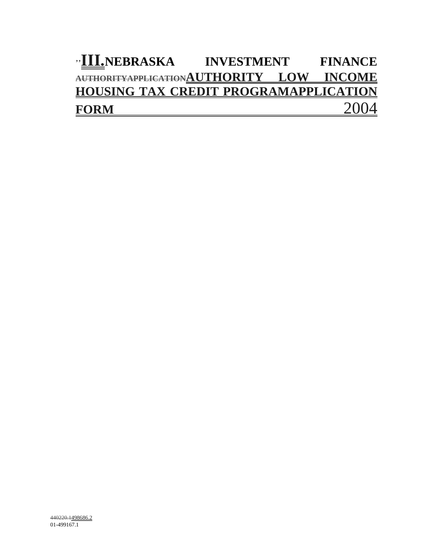# "**III.**NEBRASKA INVESTMENT FINANCE **AUTHORITYAPPLICATIONAUTHORITY LOW INCOME HOUSING TAX CREDIT PROGRAMAPPLICATION FORM** 2004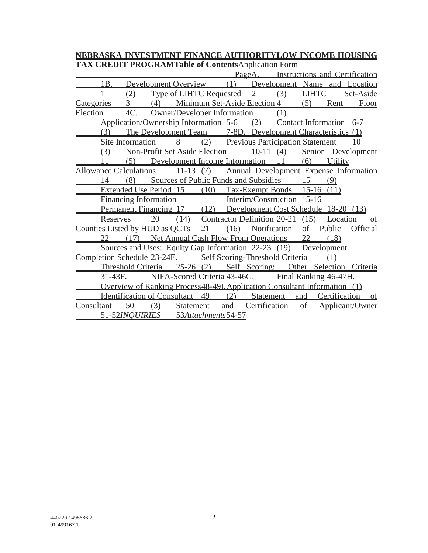**NEBRASKA INVESTMENT FINANCE AUTHORITYLOW INCOME HOUSING TAX CREDIT PROGRAMTable of Contents**Application Form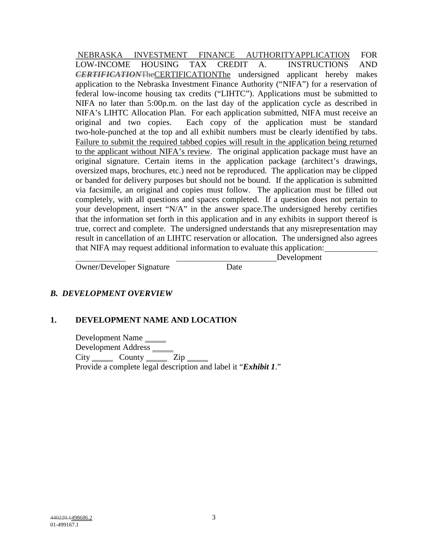NEBRASKA INVESTMENT FINANCE AUTHORITYAPPLICATION FOR LOW-INCOME HOUSING TAX CREDIT A. INSTRUCTIONS AND *CERTIFICATION*TheCERTIFICATIONThe undersigned applicant hereby makes application to the Nebraska Investment Finance Authority ("NIFA") for a reservation of federal low-income housing tax credits ("LIHTC"). Applications must be submitted to NIFA no later than 5:00p.m. on the last day of the application cycle as described in NIFA's LIHTC Allocation Plan. For each application submitted, NIFA must receive an original and two copies. Each copy of the application must be standard two-hole-punched at the top and all exhibit numbers must be clearly identified by tabs. Failure to submit the required tabbed copies will result in the application being returned to the applicant without NIFA's review. The original application package must have an original signature. Certain items in the application package (architect's drawings, oversized maps, brochures, etc.) need not be reproduced. The application may be clipped or banded for delivery purposes but should not be bound. If the application is submitted via facsimile, an original and copies must follow. The application must be filled out completely, with all questions and spaces completed. If a question does not pertain to your development, insert "N/A" in the answer space.The undersigned hereby certifies that the information set forth in this application and in any exhibits in support thereof is true, correct and complete. The undersigned understands that any misrepresentation may result in cancellation of an LIHTC reservation or allocation. The undersigned also agrees that NIFA may request additional information to evaluate this application:

Development

Owner/Developer Signature Date

# *B. DEVELOPMENT OVERVIEW*

## **1. DEVELOPMENT NAME AND LOCATION**

Development Name Development Address City County Zip Provide a complete legal description and label it "*Exhibit 1*."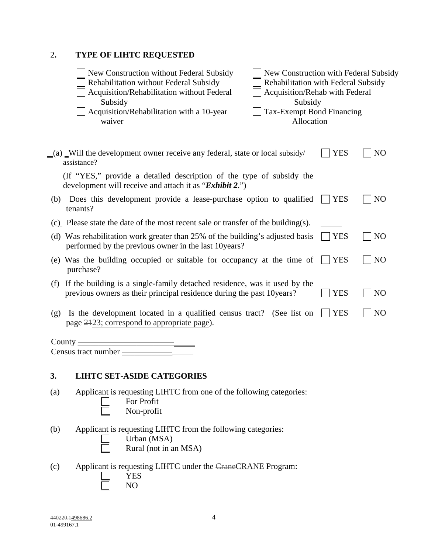# 2**. TYPE OF LIHTC REQUESTED**

| New Construction without Federal Subsidy<br>Rehabilitation without Federal Subsidy<br>Acquisition/Rehabilitation without Federal<br>Subsidy<br>Acquisition/Rehabilitation with a 10-year<br>waiver | New Construction with Federal Subsidy<br>Rehabilitation with Federal Subsidy<br>Acquisition/Rehab with Federal<br>Subsidy<br><b>Tax-Exempt Bond Financing</b><br>Allocation |                |                |
|----------------------------------------------------------------------------------------------------------------------------------------------------------------------------------------------------|-----------------------------------------------------------------------------------------------------------------------------------------------------------------------------|----------------|----------------|
| (a) Will the development owner receive any federal, state or local subsidy/<br>assistance?                                                                                                         |                                                                                                                                                                             | <b>YES</b>     | N <sub>O</sub> |
| (If "YES," provide a detailed description of the type of subsidy the<br>development will receive and attach it as " <i>Exhibit 2</i> .")                                                           |                                                                                                                                                                             |                |                |
| (b) Does this development provide a lease-purchase option to qualified<br>tenants?                                                                                                                 |                                                                                                                                                                             | <b>YES</b>     | N <sub>O</sub> |
| (c) Please state the date of the most recent sale or transfer of the building(s).                                                                                                                  |                                                                                                                                                                             |                |                |
| (d) Was rehabilitation work greater than 25% of the building's adjusted basis<br>performed by the previous owner in the last 10 years?                                                             |                                                                                                                                                                             | <b>YES</b>     | N <sub>O</sub> |
| (e) Was the building occupied or suitable for occupancy at the time of<br>purchase?                                                                                                                | <b>YES</b>                                                                                                                                                                  | N <sub>O</sub> |                |
| (f) If the building is a single-family detached residence, was it used by the<br>previous owners as their principal residence during the past 10years?                                             |                                                                                                                                                                             | <b>YES</b>     | N <sub>O</sub> |
| (g)- Is the development located in a qualified census tract? (See list on<br>page 2423; correspond to appropriate page).                                                                           |                                                                                                                                                                             | <b>YES</b>     | N <sub>O</sub> |
| County $\equiv$<br>$Census\ tract\ number_{\perp}$                                                                                                                                                 |                                                                                                                                                                             |                |                |
| <b>LIHTC SET-ASIDE CATEGORIES</b><br>3.                                                                                                                                                            |                                                                                                                                                                             |                |                |
| Applicant is requesting LIHTC from one of the following categories:<br>(a)<br>For Profit<br>Non-profit                                                                                             |                                                                                                                                                                             |                |                |

- (b) Applicant is requesting LIHTC from the following categories:  $\overline{\perp}$  Urban (MSA) Rural (not in an MSA)
- (c) Applicant is requesting LIHTC under the CraneCRANE Program: YES NO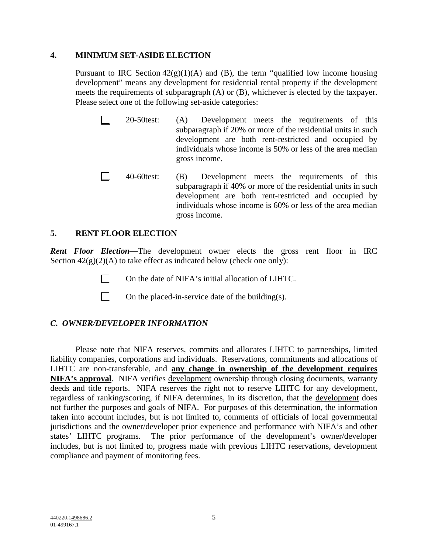#### **4. MINIMUM SET-ASIDE ELECTION**

Pursuant to IRC Section  $42(g)(1)(A)$  and (B), the term "qualified low income housing development" means any development for residential rental property if the development meets the requirements of subparagraph (A) or (B), whichever is elected by the taxpayer. Please select one of the following set-aside categories:

- 20-50test: (A) Development meets the requirements of this subparagraph if 20% or more of the residential units in such development are both rent-restricted and occupied by individuals whose income is 50% or less of the area median gross income.
- 40-60test: (B) Development meets the requirements of this subparagraph if 40% or more of the residential units in such development are both rent-restricted and occupied by individuals whose income is 60% or less of the area median gross income.

#### **5. RENT FLOOR ELECTION**

*Rent Floor Election—*The development owner elects the gross rent floor in IRC Section  $42(g)(2)(A)$  to take effect as indicated below (check one only):

- On the date of NIFA's initial allocation of LIHTC.
- On the placed-in-service date of the building(s).

# *C. OWNER/DEVELOPER INFORMATION*

Please note that NIFA reserves, commits and allocates LIHTC to partnerships, limited liability companies, corporations and individuals. Reservations, commitments and allocations of LIHTC are non-transferable, and **any change in ownership of the development requires NIFA's approval**. NIFA verifies development ownership through closing documents, warranty deeds and title reports. NIFA reserves the right not to reserve LIHTC for any development, regardless of ranking/scoring, if NIFA determines, in its discretion, that the development does not further the purposes and goals of NIFA. For purposes of this determination, the information taken into account includes, but is not limited to, comments of officials of local governmental jurisdictions and the owner/developer prior experience and performance with NIFA's and other states' LIHTC programs. The prior performance of the development's owner/developer includes, but is not limited to, progress made with previous LIHTC reservations, development compliance and payment of monitoring fees.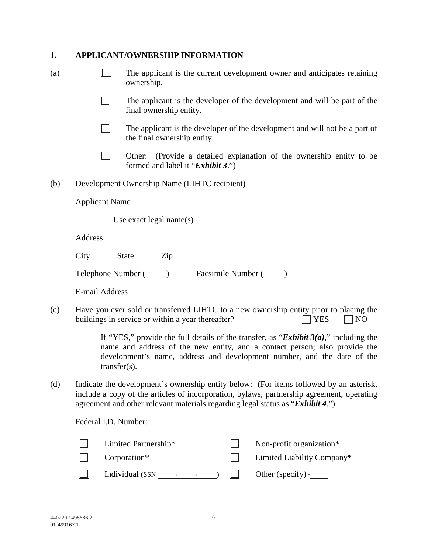# **1. APPLICANT/OWNERSHIP INFORMATION**

| (a) | The applicant is the current development owner and anticipates retaining<br>ownership. |                                                                                                                                                                                                                                                                       |  |  |  |  |  |
|-----|----------------------------------------------------------------------------------------|-----------------------------------------------------------------------------------------------------------------------------------------------------------------------------------------------------------------------------------------------------------------------|--|--|--|--|--|
|     |                                                                                        | The applicant is the developer of the development and will be part of the<br>final ownership entity.                                                                                                                                                                  |  |  |  |  |  |
|     |                                                                                        | The applicant is the developer of the development and will not be a part of<br>the final ownership entity.                                                                                                                                                            |  |  |  |  |  |
|     |                                                                                        | Other: (Provide a detailed explanation of the ownership entity to be<br>formed and label it " <i>Exhibit 3.</i> ")                                                                                                                                                    |  |  |  |  |  |
| (b) |                                                                                        | Development Ownership Name (LIHTC recipient) ______                                                                                                                                                                                                                   |  |  |  |  |  |
|     | Applicant Name                                                                         |                                                                                                                                                                                                                                                                       |  |  |  |  |  |
|     |                                                                                        | Use exact legal name(s)                                                                                                                                                                                                                                               |  |  |  |  |  |
|     |                                                                                        |                                                                                                                                                                                                                                                                       |  |  |  |  |  |
|     |                                                                                        | $City$ $\frac{1}{\sqrt{1-\frac{1}{2}}}\left  \frac{1}{\sqrt{1-\frac{1}{2}}}\right $ $\frac{1}{\sqrt{1-\frac{1}{2}}}\left  \frac{1}{\sqrt{1-\frac{1}{2}}}\right $                                                                                                      |  |  |  |  |  |
|     |                                                                                        | Telephone Number (Comparently Facsimile Number (Comparently Comparently Telephone Number (Comparently Telephone                                                                                                                                                       |  |  |  |  |  |
|     | E-mail Address______                                                                   |                                                                                                                                                                                                                                                                       |  |  |  |  |  |
| (c) |                                                                                        | Have you ever sold or transferred LIHTC to a new ownership entity prior to placing the<br>buildings in service or within a year thereafter?<br>$\Box$ YES<br>$\Box$ NO                                                                                                |  |  |  |  |  |
|     | $transfer(s)$ .                                                                        | If "YES," provide the full details of the transfer, as " <i>Exhibit 3(a)</i> ," including the<br>name and address of the new entity, and a contact person; also provide the<br>development's name, address and development number, and the date of the                |  |  |  |  |  |
| (d) |                                                                                        | Indicate the development's ownership entity below: (For items followed by an asterisk,<br>include a copy of the articles of incorporation, bylaws, partnership agreement, operating<br>agreement and other relevant materials regarding legal status as "Exhibit 4.") |  |  |  |  |  |
|     |                                                                                        | Federal I.D. Number:                                                                                                                                                                                                                                                  |  |  |  |  |  |
|     |                                                                                        | Limited Partnership*<br>Non-profit organization*                                                                                                                                                                                                                      |  |  |  |  |  |
|     |                                                                                        | Corporation*<br>Limited Liability Company*                                                                                                                                                                                                                            |  |  |  |  |  |
|     |                                                                                        | Individual $(SSN \_$<br>Other (specify) $\frac{1}{2}$                                                                                                                                                                                                                 |  |  |  |  |  |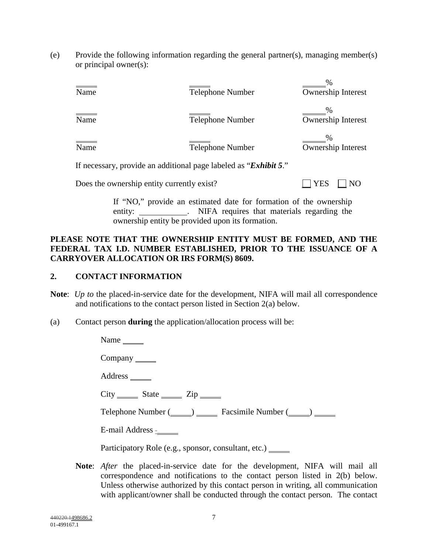(e) Provide the following information regarding the general partner(s), managing member(s) or principal owner(s):

| Name                                  | Telephone Number                                                                                                                                                                                                                                                                                                                 | $\%$<br>Ownership Interest |
|---------------------------------------|----------------------------------------------------------------------------------------------------------------------------------------------------------------------------------------------------------------------------------------------------------------------------------------------------------------------------------|----------------------------|
| $\overline{\overline{\mathbf{Name}}}$ | Telephone Number                                                                                                                                                                                                                                                                                                                 | $\%$<br>Ownership Interest |
| $\overline{\overline{\mathbf{Name}}}$ | Telephone Number                                                                                                                                                                                                                                                                                                                 | Ownership Interest         |
|                                       | $\mathbf{F}$ <b>1</b> $\mathbf{F}$ $\mathbf{F}$ $\mathbf{F}$ $\mathbf{F}$ $\mathbf{F}$ $\mathbf{F}$ $\mathbf{F}$ $\mathbf{F}$ $\mathbf{F}$ $\mathbf{F}$ $\mathbf{F}$ $\mathbf{F}$ $\mathbf{F}$ $\mathbf{F}$ $\mathbf{F}$ $\mathbf{F}$ $\mathbf{F}$ $\mathbf{F}$ $\mathbf{F}$ $\mathbf{F}$ $\mathbf{F}$ $\mathbf{F}$ $\mathbf{F}$ |                            |

If necessary, provide an additional page labeled as "*Exhibit 5*."

Does the ownership entity currently exist?  $\Box$  YES  $\Box$  NO

If "NO," provide an estimated date for formation of the ownership entity: NIFA requires that materials regarding the ownership entity be provided upon its formation.

## **PLEASE NOTE THAT THE OWNERSHIP ENTITY MUST BE FORMED, AND THE FEDERAL TAX I.D. NUMBER ESTABLISHED, PRIOR TO THE ISSUANCE OF A CARRYOVER ALLOCATION OR IRS FORM(S) 8609.**

## **2. CONTACT INFORMATION**

- **Note**: *Up to* the placed-in-service date for the development, NIFA will mail all correspondence and notifications to the contact person listed in Section 2(a) below.
- (a) Contact person **during** the application/allocation process will be:

| Name $\frac{ }{ }$                                           |
|--------------------------------------------------------------|
| $Company$ <sub>_______</sub>                                 |
| $Address$ <sub><math>\_\_</math></sub>                       |
| $City$ $State$ $Zip$ $Iip$                                   |
|                                                              |
| E-mail Address -                                             |
| Participatory Role (e.g., sponsor, consultant, etc.) _______ |

**Note**: *After* the placed-in-service date for the development, NIFA will mail all correspondence and notifications to the contact person listed in 2(b) below. Unless otherwise authorized by this contact person in writing, all communication with applicant/owner shall be conducted through the contact person. The contact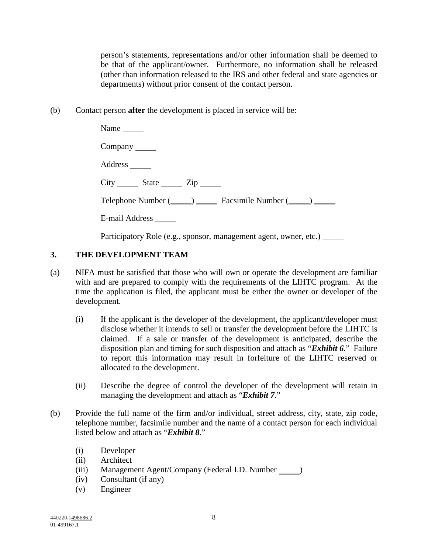person's statements, representations and/or other information shall be deemed to be that of the applicant/owner. Furthermore, no information shall be released (other than information released to the IRS and other federal and state agencies or departments) without prior consent of the contact person.

(b) Contact person **after** the development is placed in service will be:

| Name $\frac{ }{ }$          |
|-----------------------------|
| $Company$ <sub>______</sub> |
|                             |
| $City$ $State$ $Zip$ $I$    |
|                             |
| E-mail Address ______       |

Participatory Role (e.g., sponsor, management agent, owner, etc.) \_\_\_\_\_\_

# **3. THE DEVELOPMENT TEAM**

- (a) NIFA must be satisfied that those who will own or operate the development are familiar with and are prepared to comply with the requirements of the LIHTC program. At the time the application is filed, the applicant must be either the owner or developer of the development.
	- (i) If the applicant is the developer of the development, the applicant/developer must disclose whether it intends to sell or transfer the development before the LIHTC is claimed. If a sale or transfer of the development is anticipated, describe the disposition plan and timing for such disposition and attach as "*Exhibit 6*." Failure to report this information may result in forfeiture of the LIHTC reserved or allocated to the development.
	- (ii) Describe the degree of control the developer of the development will retain in managing the development and attach as "*Exhibit 7*."
- (b) Provide the full name of the firm and/or individual, street address, city, state, zip code, telephone number, facsimile number and the name of a contact person for each individual listed below and attach as "*Exhibit 8*."
	- (i) Developer
	- (ii) Architect
	- (iii) Management Agent/Company (Federal I.D. Number  $\qquad$ )
	- (iv) Consultant (if any)
	- (v) Engineer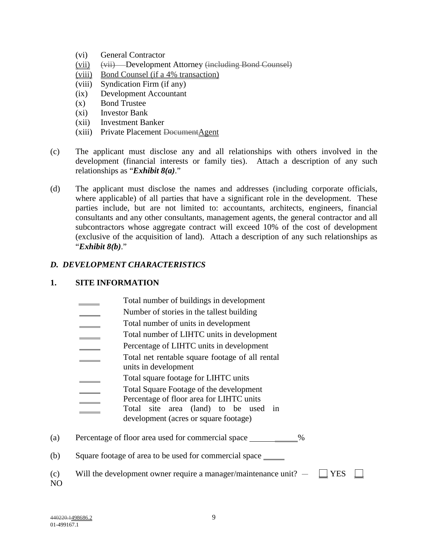- (vi) General Contractor
- (vii) (vii) Development Attorney (including Bond Counsel)
- (viii) Bond Counsel (if a 4% transaction)
- (viii) Syndication Firm (if any)
- (ix) Development Accountant
- (x) Bond Trustee
- (xi) Investor Bank
- (xii) Investment Banker
- $(xiii)$  Private Placement Document Agent
- (c) The applicant must disclose any and all relationships with others involved in the development (financial interests or family ties). Attach a description of any such relationships as "*Exhibit 8(a)*."
- (d) The applicant must disclose the names and addresses (including corporate officials, where applicable) of all parties that have a significant role in the development. These parties include, but are not limited to: accountants, architects, engineers, financial consultants and any other consultants, management agents, the general contractor and all subcontractors whose aggregate contract will exceed 10% of the cost of development (exclusive of the acquisition of land). Attach a description of any such relationships as "*Exhibit 8(b)*."

## *D. DEVELOPMENT CHARACTERISTICS*

#### **1. SITE INFORMATION**

- Total number of buildings in development
- Number of stories in the tallest building
- Total number of units in development
- Total number of LIHTC units in development
- Percentage of LIHTC units in development
- Total net rentable square footage of all rental
- units in development
- Total square footage for LIHTC units
- Total Square Footage of the development
- Percentage of floor area for LIHTC units
	- Total site area (land) to be used in development (acres or square footage)
- (a) Percentage of floor area used for commercial space 1892
- (b) Square footage of area to be used for commercial space
- (c) Will the development owner require a manager/maintenance unit?  $-\Box$  YES
- NO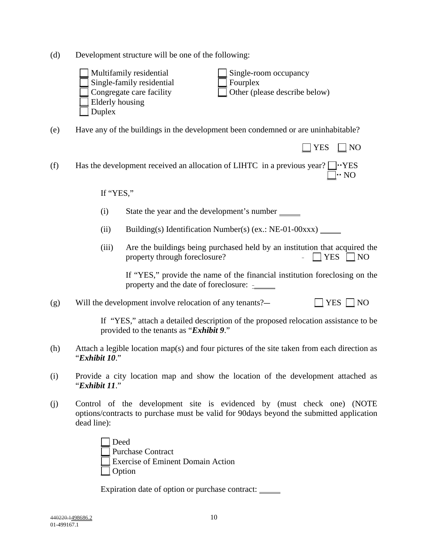(d) Development structure will be one of the following:

| $\Box$ Multifamily residential   | $\Box$ Single-room occupancy         |
|----------------------------------|--------------------------------------|
| $\Box$ Single-family residential | $\Box$ Fourplex                      |
| $\Box$ Congregate care facility  | $\Box$ Other (please describe below) |
| $\Box$ Elderly housing           |                                      |
| $\vert$ Duplex                   |                                      |
|                                  |                                      |

(e) Have any of the buildings in the development been condemned or are uninhabitable?

 $\Box$  YES  $\Box$  NO (f) Has the development received an allocation of LIHTC in a previous year?  $\Box \cdot$  YES  $\Box \cdot NO$ 

#### If "YES,"

- (i) State the year and the development's number
- (ii) Building(s) Identification Number(s) (ex.:  $NE-01-00xxx$ )
- (iii) Are the buildings being purchased held by an institution that acquired the property through foreclosure?  $\Box$  YES  $\Box$  NO

If "YES," provide the name of the financial institution foreclosing on the property and the date of foreclosure:

(g) Will the development involve relocation of any tenants?—  $\Box$  YES  $\Box$  NO

 If "YES," attach a detailed description of the proposed relocation assistance to be provided to the tenants as "*Exhibit 9*."

- (h) Attach a legible location map(s) and four pictures of the site taken from each direction as "*Exhibit 10*."
- (i) Provide a city location map and show the location of the development attached as "*Exhibit 11*."
- (j) Control of the development site is evidenced by (must check one) (NOTE options/contracts to purchase must be valid for 90days beyond the submitted application dead line):

| Deed                              |  |
|-----------------------------------|--|
| Purchase Contract                 |  |
| Exercise of Eminent Domain Action |  |
| $\Box$ Option                     |  |

Expiration date of option or purchase contract: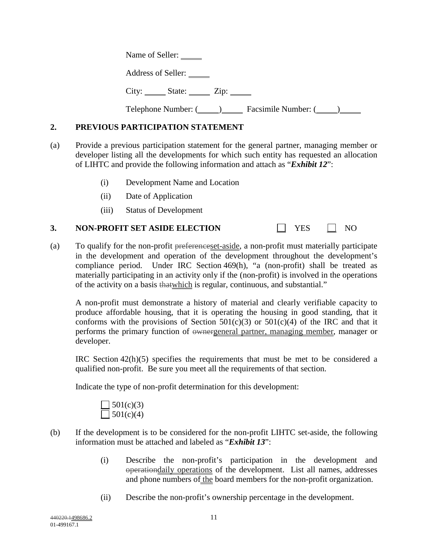Name of Seller:

Address of Seller:

 $City:$   $Subset:$   $Zip:$   $Zip:$   $()$ 

Telephone Number: (Compared Facsimile Number: (Compared 1)

# **2. PREVIOUS PARTICIPATION STATEMENT**

- (a) Provide a previous participation statement for the general partner, managing member or developer listing all the developments for which such entity has requested an allocation of LIHTC and provide the following information and attach as "*Exhibit 12*":
	- (i) Development Name and Location
	- (ii) Date of Application
	- (iii) Status of Development

# **3. NON-PROFIT SET ASIDE ELECTION** THES TWO

(a) To qualify for the non-profit preferenceset-aside, a non-profit must materially participate in the development and operation of the development throughout the development's compliance period. Under IRC Section 469(h), "a (non-profit) shall be treated as materially participating in an activity only if the (non-profit) is involved in the operations of the activity on a basis thatwhich is regular, continuous, and substantial."

A non-profit must demonstrate a history of material and clearly verifiable capacity to produce affordable housing, that it is operating the housing in good standing, that it conforms with the provisions of Section  $501(c)(3)$  or  $501(c)(4)$  of the IRC and that it performs the primary function of ownergeneral partner, managing member, manager or developer.

IRC Section 42(h)(5) specifies the requirements that must be met to be considered a qualified non-profit. Be sure you meet all the requirements of that section.

Indicate the type of non-profit determination for this development:

$$
\square 501(c)(3)
$$
  

$$
\square 501(c)(4)
$$

- (b) If the development is to be considered for the non-profit LIHTC set-aside, the following information must be attached and labeled as "*Exhibit 13*":
	- (i) Describe the non-profit's participation in the development and operationdaily operations of the development. List all names, addresses and phone numbers of the board members for the non-profit organization.
	- (ii) Describe the non-profit's ownership percentage in the development.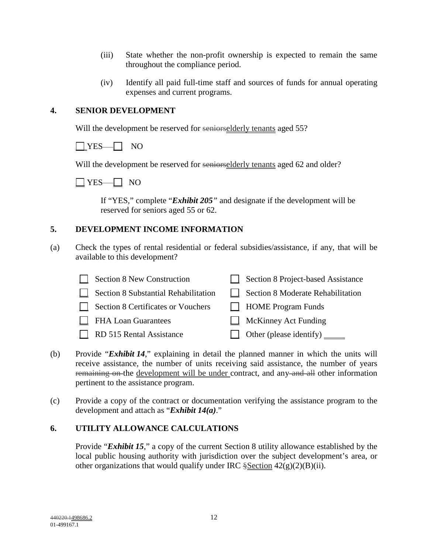- (iii) State whether the non-profit ownership is expected to remain the same throughout the compliance period.
- (iv) Identify all paid full-time staff and sources of funds for annual operating expenses and current programs.

# **4. SENIOR DEVELOPMENT**

Will the development be reserved for seniorselderly tenants aged 55?



Will the development be reserved for seniorselderly tenants aged 62 and older?



If "YES," complete "*Exhibit 205"* and designate if the development will be reserved for seniors aged 55 or 62.

# **5. DEVELOPMENT INCOME INFORMATION**

(a) Check the types of rental residential or federal subsidies/assistance, if any, that will be available to this development?

| Section 8 New Construction           | <b>Section 8 Project-based Assistance</b><br>$\perp$ |
|--------------------------------------|------------------------------------------------------|
| Section 8 Substantial Rehabilitation | Section 8 Moderate Rehabilitation<br>$\mathbf{1}$    |
| Section 8 Certificates or Vouchers   | $\Box$ HOME Program Funds                            |
| <b>FHA Loan Guarantees</b>           | $\Box$ McKinney Act Funding                          |
| RD 515 Rental Assistance             | $\Box$ Other (please identify) $\Box$                |

- (b) Provide "*Exhibit 14*," explaining in detail the planned manner in which the units will receive assistance, the number of units receiving said assistance, the number of years remaining on the development will be under contract, and any and all other information pertinent to the assistance program.
- (c) Provide a copy of the contract or documentation verifying the assistance program to the development and attach as "*Exhibit 14(a)*."

# **6. UTILITY ALLOWANCE CALCULATIONS**

Provide "*Exhibit 15*," a copy of the current Section 8 utility allowance established by the local public housing authority with jurisdiction over the subject development's area, or other organizations that would qualify under IRC  $\S$ Section 42(g)(2)(B)(ii).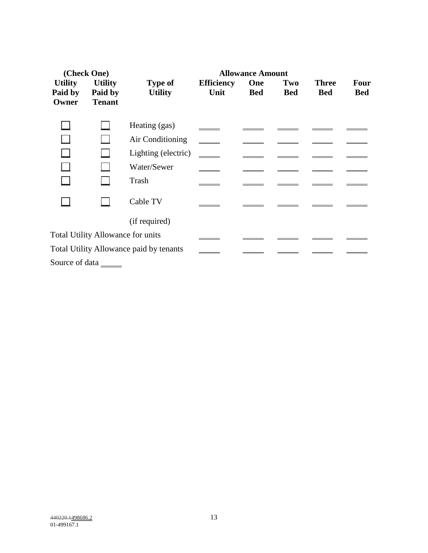| (Check One)                        |                                            | <b>Allowance Amount</b>                  |                           |                   |                   |                            |                           |  |
|------------------------------------|--------------------------------------------|------------------------------------------|---------------------------|-------------------|-------------------|----------------------------|---------------------------|--|
| <b>Utility</b><br>Paid by<br>Owner | <b>Utility</b><br>Paid by<br><b>Tenant</b> | <b>Type of</b><br><b>Utility</b>         | <b>Efficiency</b><br>Unit | One<br><b>Bed</b> | Two<br><b>Bed</b> | <b>Three</b><br><b>Bed</b> | <b>Four</b><br><b>Bed</b> |  |
|                                    |                                            | Heating (gas)                            |                           |                   |                   |                            |                           |  |
|                                    |                                            | Air Conditioning                         |                           |                   |                   |                            |                           |  |
|                                    |                                            | Lighting (electric)                      |                           |                   |                   |                            |                           |  |
|                                    |                                            | Water/Sewer                              |                           |                   |                   |                            |                           |  |
|                                    |                                            | Trash                                    |                           |                   |                   |                            |                           |  |
|                                    |                                            | Cable TV                                 |                           |                   |                   |                            |                           |  |
|                                    |                                            | (if required)                            |                           |                   |                   |                            |                           |  |
|                                    |                                            | <b>Total Utility Allowance for units</b> |                           |                   |                   |                            |                           |  |
|                                    |                                            | Total Utility Allowance paid by tenants  |                           |                   |                   |                            |                           |  |
| Source of data                     |                                            |                                          |                           |                   |                   |                            |                           |  |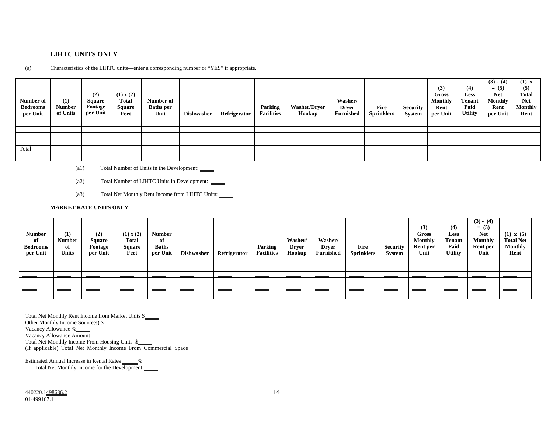#### **LIHTC UNITS ONLY**

**Number of Bedrooms per Unit (1) Number of Units (2) Square Footage per Unit (1) x (2) Total Square Feet Number of Baths per Unit Dishwasher Refrigerator Parking Facilities Washer/Dryer Hookup Washer/ Dryer Furnished Fire Sprinklers Security System (3) Gross Monthly Rent per Unit (4) Less Tenant Paid Utility**   $(3) - (4)$ **= (5) Net Monthly Rent per Unit (1) x (5) Total Net Monthly Rent**  Total

(a) Characteristics of the LIHTC units—enter a corresponding number or "YES" if appropriate.

- (a1) Total Number of Units in the Development:
- (a2) Total Number of LIHTC Units in Development:
- (a3) Total Net Monthly Rent Income from LIHTC Units:

#### **MARKET RATE UNITS ONLY**

| <b>Number</b><br>of<br><b>Bedrooms</b><br>per Unit | (1)<br><b>Number</b><br>of<br><b>Units</b> | (2)<br><b>Square</b><br>Footage<br>per Unit | (1) x (2)<br>Total<br><b>Square</b><br>Feet | <b>Number</b><br>of<br><b>Baths</b><br>per Unit | <b>Dishwasher</b> | Refrigerator | Parking<br><b>Facilities</b> | Washer/<br><b>Dryer</b><br>Hookup | Washer/<br><b>Dryer</b><br><b>Furnished</b> | Fire<br><b>Sprinklers</b> | <b>Security</b><br>System | (3)<br>Gross<br><b>Monthly</b><br>Rent per<br>Unit | (4)<br>Less<br><b>Tenant</b><br>Paid<br><b>Utility</b> | $(3) - (4)$<br>$= (5)$<br><b>Net</b><br><b>Monthly</b><br>Rent per<br>Unit | $(1) \times (5)$<br><b>Total Net</b><br><b>Monthly</b><br>Rent |
|----------------------------------------------------|--------------------------------------------|---------------------------------------------|---------------------------------------------|-------------------------------------------------|-------------------|--------------|------------------------------|-----------------------------------|---------------------------------------------|---------------------------|---------------------------|----------------------------------------------------|--------------------------------------------------------|----------------------------------------------------------------------------|----------------------------------------------------------------|
|                                                    |                                            |                                             |                                             |                                                 |                   |              |                              |                                   |                                             |                           |                           |                                                    |                                                        |                                                                            |                                                                |
|                                                    |                                            |                                             |                                             |                                                 |                   |              |                              |                                   |                                             |                           |                           |                                                    |                                                        |                                                                            |                                                                |
|                                                    |                                            |                                             |                                             |                                                 |                   |              |                              |                                   |                                             |                           |                           |                                                    |                                                        |                                                                            |                                                                |
|                                                    | ___                                        |                                             | ____                                        | ___                                             |                   |              | $\equiv$ $\equiv$            | $\sim$ $\sim$                     | ____                                        | $\sim$ $\sim$             | $\sim$ $\sim$             | ___                                                | $\sim$ $\sim$                                          | $\sim$ $\sim$                                                              |                                                                |

Total Net Monthly Rent Income from Market Units \$

Other Monthly Income Source(s) \$

Vacancy Allowance %

Vacancy Allowance Amount

Total Net Monthly Income From Housing Units \$

(If applicable) Total Net Monthly Income From Commercial Space

Estimated Annual Increase in Rental Rates \_\_\_\_\_\_%

Total Net Monthly Income for the Development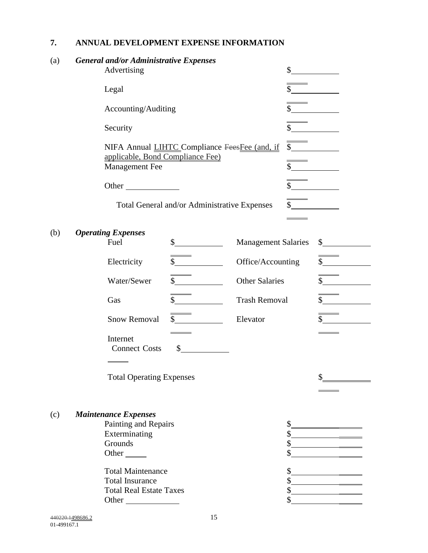# **7. ANNUAL DEVELOPMENT EXPENSE INFORMATION**

| (a) |                           | <b>General and/or Administrative Expenses</b><br>Advertising |                                               |                                                 | $\frac{\text{S}}{\text{S}}$ |                                              |                                                                                                                                                                                                                                                                                                                                                                              |
|-----|---------------------------|--------------------------------------------------------------|-----------------------------------------------|-------------------------------------------------|-----------------------------|----------------------------------------------|------------------------------------------------------------------------------------------------------------------------------------------------------------------------------------------------------------------------------------------------------------------------------------------------------------------------------------------------------------------------------|
|     |                           | Legal                                                        |                                               |                                                 | $\sim$                      |                                              |                                                                                                                                                                                                                                                                                                                                                                              |
|     |                           | Accounting/Auditing                                          |                                               |                                                 |                             | $\frac{\text{S}}{\text{S}}$                  |                                                                                                                                                                                                                                                                                                                                                                              |
|     |                           | Security                                                     |                                               |                                                 |                             | $\frac{\text{S}}{\text{S}}$                  |                                                                                                                                                                                                                                                                                                                                                                              |
|     |                           | applicable, Bond Compliance Fee)<br>Management Fee           | NIFA Annual LIHTC_Compliance FeesFee (and, if |                                                 |                             | $\frac{\sqrt{2}}{2}$<br>$\frac{\sqrt{2}}{2}$ |                                                                                                                                                                                                                                                                                                                                                                              |
|     |                           | Other                                                        |                                               |                                                 |                             | s                                            |                                                                                                                                                                                                                                                                                                                                                                              |
|     |                           |                                                              | Total General and/or Administrative Expenses  |                                                 |                             |                                              |                                                                                                                                                                                                                                                                                                                                                                              |
| (b) | <b>Operating Expenses</b> |                                                              |                                               |                                                 |                             |                                              |                                                                                                                                                                                                                                                                                                                                                                              |
|     |                           | Fuel                                                         | $\mathbb{S}$                                  | <b>Management Salaries</b>                      |                             |                                              | s                                                                                                                                                                                                                                                                                                                                                                            |
|     |                           | Electricity                                                  | $\frac{\text{S}}{\text{S}}$                   | Office/Accounting                               |                             |                                              | $\overline{\text{S}}$                                                                                                                                                                                                                                                                                                                                                        |
|     |                           | Water/Sewer                                                  | $\sim$                                        | <b>Other Salaries</b>                           |                             |                                              | $\frac{\S_{\frac{1}{2}}}{\S_{\frac{1}{2}}}{\S_{\frac{1}{2}}}{\S_{\frac{1}{2}}}{\S_{\frac{1}{2}}}{\S_{\frac{1}{2}}}{\S_{\frac{1}{2}}}{\S_{\frac{1}{2}}}{\S_{\frac{1}{2}}}{\S_{\frac{1}{2}}}{\S_{\frac{1}{2}}}{\S_{\frac{1}{2}}}{\S_{\frac{1}{2}}}{\S_{\frac{1}{2}}}{\S_{\frac{1}{2}}}{\S_{\frac{1}{2}}}{\S_{\frac{1}{2}}}{\S_{\frac{1}{2}}}{\S_{\frac{1}{2}}}{\S_{\frac{1}{2$ |
|     |                           | Gas                                                          | $\mathbb{S}$                                  | <b>Trash Removal</b>                            |                             |                                              | $\frac{\text{S}}{\text{S}}$                                                                                                                                                                                                                                                                                                                                                  |
|     |                           | <b>Snow Removal</b>                                          | $\frac{\text{S}}{\text{S}}$                   | Elevator                                        |                             |                                              | $\sim$                                                                                                                                                                                                                                                                                                                                                                       |
|     |                           | Internet<br><b>Connect Costs</b>                             | $\sim$                                        |                                                 |                             |                                              |                                                                                                                                                                                                                                                                                                                                                                              |
|     |                           | <b>Total Operating Expenses</b>                              |                                               |                                                 |                             |                                              |                                                                                                                                                                                                                                                                                                                                                                              |
|     |                           |                                                              |                                               |                                                 |                             |                                              |                                                                                                                                                                                                                                                                                                                                                                              |
| (c) |                           | <b>Maintenance Expenses</b><br>Painting and Repairs          |                                               |                                                 |                             |                                              |                                                                                                                                                                                                                                                                                                                                                                              |
|     | Exterminating             |                                                              |                                               | <u> 1990 - John Stone, amerikansk politiker</u> |                             |                                              |                                                                                                                                                                                                                                                                                                                                                                              |
|     |                           |                                                              |                                               |                                                 |                             |                                              |                                                                                                                                                                                                                                                                                                                                                                              |
|     |                           | Grounds<br>Other $\_\_$                                      |                                               |                                                 |                             |                                              |                                                                                                                                                                                                                                                                                                                                                                              |
|     |                           | <b>Total Maintenance</b>                                     |                                               | \$                                              |                             |                                              |                                                                                                                                                                                                                                                                                                                                                                              |
|     |                           | <b>Total Insurance</b>                                       |                                               |                                                 |                             |                                              |                                                                                                                                                                                                                                                                                                                                                                              |
|     |                           | <b>Total Real Estate Taxes</b>                               |                                               |                                                 |                             |                                              |                                                                                                                                                                                                                                                                                                                                                                              |
|     |                           |                                                              |                                               |                                                 |                             |                                              |                                                                                                                                                                                                                                                                                                                                                                              |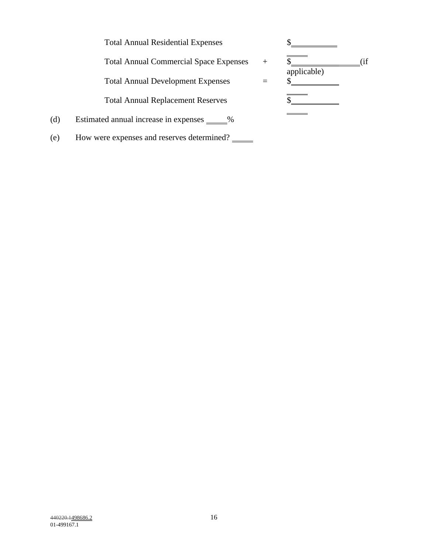Total Annual Residential Expenses  $\quad \$ 

Total Annual Commercial Space Expenses  $\quad + \quad \overline{\$}$  (if

Total Annual Development Expenses =

Total Annual Replacement Reserves  $\$\$ 



- (d) Estimated annual increase in expenses  $\_\_\_\%$
- (e) How were expenses and reserves determined?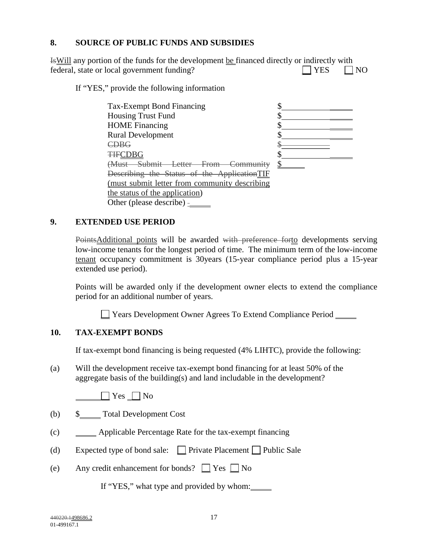## **8. SOURCE OF PUBLIC FUNDS AND SUBSIDIES**

| <b>EXAMPLE 15</b> EVILLED any portion of the funds for the development be financed directly or indirectly with |            |           |
|----------------------------------------------------------------------------------------------------------------|------------|-----------|
| federal, state or local government funding?                                                                    | $\Box$ YES | $\Box$ NO |

If "YES," provide the following information

| Tax-Exempt Bond Financing                          |  |
|----------------------------------------------------|--|
| <b>Housing Trust Fund</b>                          |  |
| <b>HOME</b> Financing                              |  |
| <b>Rural Development</b>                           |  |
| $\mathbb{C}\mathrm{D}\mathrm{B}\mathrm{G}$         |  |
| <b>THECDBG</b>                                     |  |
| Aust Submit Letter<br><del>From</del><br>Community |  |
| Describing the Status of the ApplicationTIF        |  |
| (must submit letter from community describing      |  |
| the status of the application)                     |  |
| Other (please describe) -                          |  |

#### **9. EXTENDED USE PERIOD**

PointsAdditional points will be awarded with preference forto developments serving low-income tenants for the longest period of time. The minimum term of the low-income tenant occupancy commitment is 30years (15-year compliance period plus a 15-year extended use period).

Points will be awarded only if the development owner elects to extend the compliance period for an additional number of years.

Years Development Owner Agrees To Extend Compliance Period

#### **10. TAX-EXEMPT BONDS**

If tax-exempt bond financing is being requested (4% LIHTC), provide the following:

(a) Will the development receive tax-exempt bond financing for at least 50% of the aggregate basis of the building(s) and land includable in the development?

 $\Box$  Yes  $\Box$  No

- (b) \$ Total Development Cost
- (c) Applicable Percentage Rate for the tax-exempt financing
- (d) Expected type of bond sale:  $\Box$  Private Placement  $\Box$  Public Sale
- (e) Any credit enhancement for bonds?  $\Box$  Yes  $\Box$  No

If "YES," what type and provided by whom:

440220.1498686.2 17  $01-499167.1$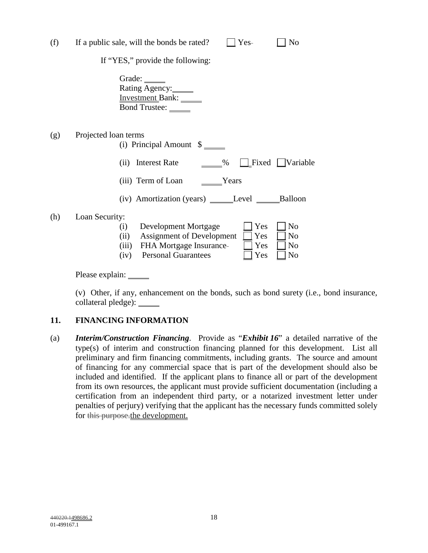| (f) |                      | If a public sale, will the bonds be rated?<br>No<br>Yes-                                                                                                                                                                       |
|-----|----------------------|--------------------------------------------------------------------------------------------------------------------------------------------------------------------------------------------------------------------------------|
|     |                      | If "YES," provide the following:                                                                                                                                                                                               |
|     |                      | Grade:<br>Rating Agency:<br>Investment Bank:<br>Bond Trustee: ______                                                                                                                                                           |
| (g) | Projected loan terms | (i) Principal Amount $\frac{1}{2}$                                                                                                                                                                                             |
|     |                      | Fixed       Variable<br><b>Interest Rate</b><br>$\%$<br>(i)                                                                                                                                                                    |
|     |                      | (iii) Term of Loan<br>Years                                                                                                                                                                                                    |
|     |                      |                                                                                                                                                                                                                                |
| (h) | Loan Security:       | Yes<br>N <sub>0</sub><br>Development Mortgage<br>(i)<br>(ii) Assignment of Development<br>Yes<br>N <sub>o</sub><br>(iii) FHA Mortgage Insurance-<br>Yes<br>N <sub>0</sub><br>(iv) Personal Guarantees<br>Yes<br>N <sub>o</sub> |

Please explain: \_\_\_\_\_\_\_

(v) Other, if any, enhancement on the bonds, such as bond surety (i.e., bond insurance, collateral pledge): \_\_\_\_\_

## **11. FINANCING INFORMATION**

(a) *Interim/Construction Financing*. Provide as "*Exhibit 16*" a detailed narrative of the type(s) of interim and construction financing planned for this development. List all preliminary and firm financing commitments, including grants. The source and amount of financing for any commercial space that is part of the development should also be included and identified. If the applicant plans to finance all or part of the development from its own resources, the applicant must provide sufficient documentation (including a certification from an independent third party, or a notarized investment letter under penalties of perjury) verifying that the applicant has the necessary funds committed solely for this purpose.the development.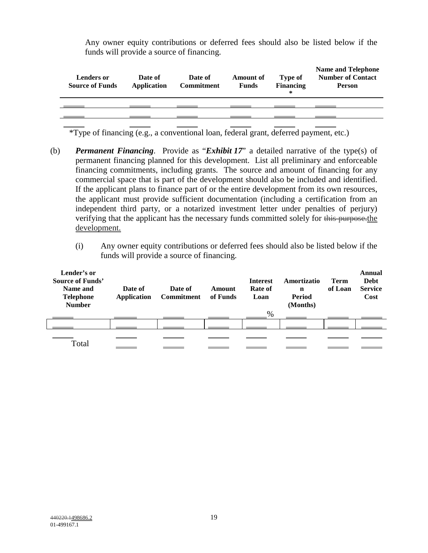Any owner equity contributions or deferred fees should also be listed below if the funds will provide a source of financing.

| <b>Lenders or</b><br><b>Source of Funds</b> | Date of<br>Application | Date of<br><b>Commitment</b> | <b>Amount of</b><br><b>Funds</b> | Type of<br><b>Financing</b><br>∗ | <b>Name and Telephone</b><br><b>Number of Contact</b><br><b>Person</b> |
|---------------------------------------------|------------------------|------------------------------|----------------------------------|----------------------------------|------------------------------------------------------------------------|
|                                             |                        |                              |                                  |                                  |                                                                        |
|                                             |                        |                              |                                  |                                  |                                                                        |
|                                             |                        |                              |                                  |                                  |                                                                        |

 $\overline{\text{*Type of financing (e.g., a conventional loan, federal grant, deferred payment, etc.)}}$ 

- (b) *Permanent Financing*. Provide as "*Exhibit 17*" a detailed narrative of the type(s) of permanent financing planned for this development. List all preliminary and enforceable financing commitments, including grants. The source and amount of financing for any commercial space that is part of the development should also be included and identified. If the applicant plans to finance part of or the entire development from its own resources, the applicant must provide sufficient documentation (including a certification from an independent third party, or a notarized investment letter under penalties of perjury) verifying that the applicant has the necessary funds committed solely for this purpose. the development.
	- (i) Any owner equity contributions or deferred fees should also be listed below if the funds will provide a source of financing.

| Lender's or<br><b>Source of Funds'</b><br>Name and<br><b>Telephone</b><br><b>Number</b> | Date of<br><b>Application</b> | Date of<br>Commitment | Amount<br>of Funds | <b>Interest</b><br>Rate of<br>Loan | Amortizatio<br>n<br>Period<br>(Months) | <b>Term</b><br>of Loan | Annual<br><b>Debt</b><br><b>Service</b><br>Cost |
|-----------------------------------------------------------------------------------------|-------------------------------|-----------------------|--------------------|------------------------------------|----------------------------------------|------------------------|-------------------------------------------------|
|                                                                                         |                               |                       |                    | $\%$                               |                                        |                        |                                                 |
|                                                                                         |                               |                       |                    |                                    |                                        |                        |                                                 |
|                                                                                         |                               |                       |                    |                                    |                                        |                        |                                                 |
| Total                                                                                   |                               |                       |                    |                                    |                                        |                        |                                                 |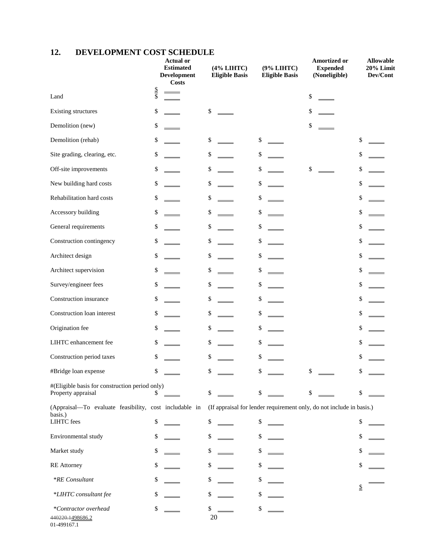# **12. DEVELOPMENT COST SCHEDULE**

|                                                                      |             | <b>Actual or</b><br><b>Estimated</b><br>Development<br><b>Costs</b> |          | (4% LIHTC)<br><b>Eligible Basis</b> | (9% LIHTC)<br><b>Eligible Basis</b> | Amortized or<br><b>Expended</b><br>(Noneligible)                     |                          | <b>Allowable</b><br>20% Limit<br>Dev/Cont |
|----------------------------------------------------------------------|-------------|---------------------------------------------------------------------|----------|-------------------------------------|-------------------------------------|----------------------------------------------------------------------|--------------------------|-------------------------------------------|
| Land                                                                 | $rac{S}{S}$ |                                                                     |          |                                     |                                     | \$                                                                   |                          |                                           |
| Existing structures                                                  | \$          |                                                                     | \$       |                                     |                                     | \$                                                                   |                          |                                           |
| Demolition (new)                                                     | \$          |                                                                     |          |                                     |                                     | \$                                                                   |                          |                                           |
| Demolition (rehab)                                                   | \$          |                                                                     | \$       |                                     | \$                                  |                                                                      | \$                       |                                           |
| Site grading, clearing, etc.                                         | \$          |                                                                     | \$       |                                     | \$                                  |                                                                      | \$                       |                                           |
| Off-site improvements                                                | \$          |                                                                     | \$       |                                     | \$                                  | \$                                                                   | \$                       |                                           |
| New building hard costs                                              | \$          |                                                                     | \$       |                                     | \$                                  |                                                                      | \$                       |                                           |
| Rehabilitation hard costs                                            | \$          |                                                                     | \$       |                                     | \$                                  |                                                                      | \$                       |                                           |
| Accessory building                                                   | \$          |                                                                     | \$       |                                     | \$                                  |                                                                      | \$                       |                                           |
| General requirements                                                 | \$          |                                                                     | \$       |                                     | \$                                  |                                                                      | \$                       |                                           |
| Construction contingency                                             | \$          |                                                                     | \$       |                                     | \$                                  |                                                                      | \$                       |                                           |
| Architect design                                                     | \$          |                                                                     | \$       |                                     | \$                                  |                                                                      | \$                       |                                           |
| Architect supervision                                                | \$          |                                                                     | \$       |                                     | \$                                  |                                                                      | \$                       |                                           |
| Survey/engineer fees                                                 | \$          |                                                                     | \$       |                                     | \$                                  |                                                                      | \$                       |                                           |
| Construction insurance                                               | \$          |                                                                     | \$       |                                     | \$                                  |                                                                      | \$                       |                                           |
| Construction loan interest                                           | \$          |                                                                     | \$       |                                     | \$                                  |                                                                      | \$                       |                                           |
| Origination fee                                                      | \$          |                                                                     | \$       |                                     | \$                                  |                                                                      | \$                       |                                           |
| LIHTC enhancement fee                                                | \$          |                                                                     | \$       |                                     | \$                                  |                                                                      | \$                       |                                           |
| Construction period taxes                                            | \$          |                                                                     | \$       |                                     | \$                                  |                                                                      | \$                       |                                           |
| #Bridge loan expense                                                 | \$          |                                                                     | \$       |                                     | \$                                  | \$                                                                   | \$                       |                                           |
| #(Eligible basis for construction period only)<br>Property appraisal | S           |                                                                     | \$       |                                     | \$                                  | \$                                                                   | \$                       |                                           |
| (Appraisal-To evaluate feasibility, cost includable in<br>basis.)    |             |                                                                     |          |                                     |                                     | (If appraisal for lender requirement only, do not include in basis.) |                          |                                           |
| LIHTC fees                                                           | \$          |                                                                     | \$       |                                     | \$                                  |                                                                      | \$                       |                                           |
| Environmental study                                                  | \$          |                                                                     | \$       |                                     | \$                                  |                                                                      | \$                       |                                           |
| Market study                                                         | \$          |                                                                     | \$       |                                     | \$                                  |                                                                      | \$                       |                                           |
| <b>RE</b> Attorney                                                   | \$          |                                                                     | \$       |                                     | \$                                  |                                                                      | \$                       |                                           |
| *RE Consultant                                                       | \$          |                                                                     | \$       |                                     | \$                                  |                                                                      | $\underline{\mathbb{S}}$ |                                           |
| *LIHTC consultant fee                                                | \$          |                                                                     | \$       |                                     | \$                                  |                                                                      |                          |                                           |
| *Contractor overhead<br>440220.1498686.2                             | \$          |                                                                     | \$<br>20 |                                     | \$                                  |                                                                      |                          |                                           |

01-499167.1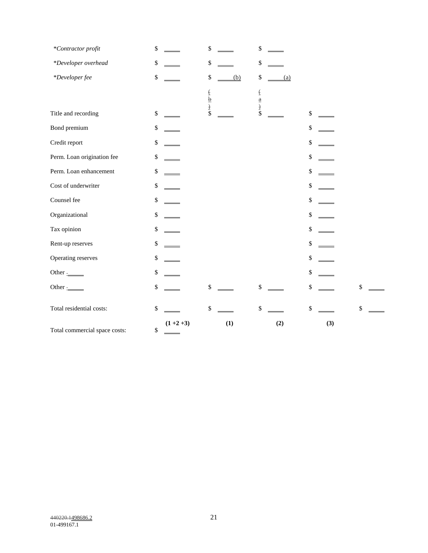| *Contractor profit            | $\mathbb{S}$    | \$                         | $\boldsymbol{\$}$          |     |              |
|-------------------------------|-----------------|----------------------------|----------------------------|-----|--------------|
| *Developer overhead           | $\mathbb{S}$    | \$                         | \$                         |     |              |
| *Developer fee                | $\mathbb{S}$    | \$<br>(b)                  | $\boldsymbol{\$}$<br>(a)   |     |              |
|                               |                 | $rac{1}{2}$<br>$rac{1}{2}$ | $rac{1}{2}$<br>$rac{1}{2}$ |     |              |
| Title and recording           | $\mathbb{S}$    |                            |                            | \$  |              |
| Bond premium                  | $\$$            |                            |                            | \$  |              |
| Credit report                 | $\mathbb{S}$    |                            |                            | \$  |              |
| Perm. Loan origination fee    | $\mathbb{S}$    |                            |                            | \$  |              |
| Perm. Loan enhancement        | $\mathbb{S}$    |                            |                            | \$  |              |
| Cost of underwriter           | $\mathbb{S}$    |                            |                            | \$  |              |
| Counsel fee                   | $\mathbb{S}$    |                            |                            | \$  |              |
| Organizational                | $\$$            |                            |                            | \$  |              |
| Tax opinion                   | $\mathbb{S}$    |                            |                            | \$  |              |
| Rent-up reserves              | $\$$            |                            |                            | \$  |              |
| Operating reserves            | $\mathbb{S}$    |                            |                            | \$  |              |
| Other $\frac{1}{2}$           | $\$$            |                            |                            | \$  |              |
| Other $\frac{1}{2}$           | $\mathbb{S}$    | \$                         | $\mathbb{S}$               | \$  | $\mathbb{S}$ |
| Total residential costs:      | $\mathbb{S}$    | \$                         | \$                         | \$  | \$           |
| Total commercial space costs: | $(1+2+3)$<br>\$ | (1)                        | (2)                        | (3) |              |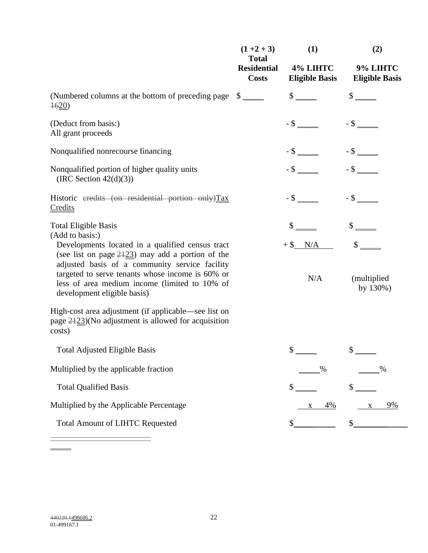|                                                                                                                                                                                                                                                                                               | $(1+2+3)$<br><b>Total</b>          | (1)                               | (2)                                      |
|-----------------------------------------------------------------------------------------------------------------------------------------------------------------------------------------------------------------------------------------------------------------------------------------------|------------------------------------|-----------------------------------|------------------------------------------|
|                                                                                                                                                                                                                                                                                               | <b>Residential</b><br><b>Costs</b> | 4% LIHTC<br><b>Eligible Basis</b> | 9% LIHTC<br><b>Eligible Basis</b>        |
| (Numbered columns at the bottom of preceding page<br>$\frac{4620}{2}$                                                                                                                                                                                                                         | $\frac{\text{S}}{\text{}}$         | $\frac{\S_{\perp}}{\S_{\perp}}$   |                                          |
| (Deduct from basis:)<br>All grant proceeds                                                                                                                                                                                                                                                    |                                    |                                   |                                          |
| Nonqualified nonrecourse financing                                                                                                                                                                                                                                                            |                                    |                                   |                                          |
| Nonqualified portion of higher quality units<br>(IRC Section $42(d)(3)$ )                                                                                                                                                                                                                     |                                    |                                   |                                          |
| Historic eredits (on residential portion only)Tax<br>Credits                                                                                                                                                                                                                                  |                                    |                                   |                                          |
| <b>Total Eligible Basis</b><br>(Add to basis:)                                                                                                                                                                                                                                                |                                    |                                   |                                          |
| Developments located in a qualified census tract<br>(see list on page $2423$ ) may add a portion of the<br>adjusted basis of a community service facility<br>targeted to serve tenants whose income is 60% or<br>less of area medium income (limited to 10% of<br>development eligible basis) |                                    | $+$ \$ $N/A$<br>N/A               | $\mathbb{S}$<br>(multiplied)<br>by 130%) |
| High-cost area adjustment (if applicable—see list on<br>page $2423$ )(No adjustment is allowed for acquisition<br>costs)                                                                                                                                                                      |                                    |                                   |                                          |
| <b>Total Adjusted Eligible Basis</b>                                                                                                                                                                                                                                                          |                                    | $\mathbb{S}$                      |                                          |
| Multiplied by the applicable fraction                                                                                                                                                                                                                                                         |                                    | %                                 | %                                        |
| <b>Total Qualified Basis</b>                                                                                                                                                                                                                                                                  |                                    | \$                                | \$                                       |
| Multiplied by the Applicable Percentage                                                                                                                                                                                                                                                       |                                    | 4%<br>X                           | 9%<br>$\mathbf X$                        |
| <b>Total Amount of LIHTC Requested</b>                                                                                                                                                                                                                                                        |                                    |                                   |                                          |

 $\overline{a}$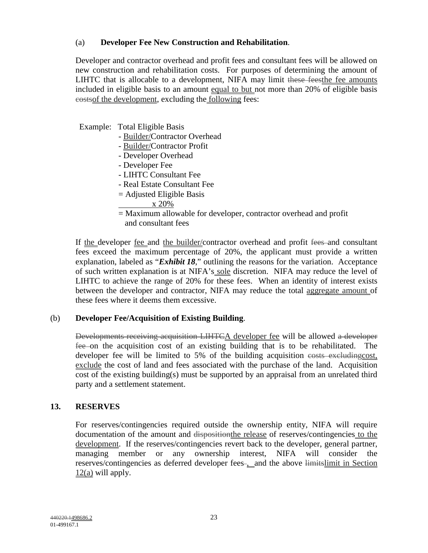## (a) **Developer Fee New Construction and Rehabilitation**.

 Developer and contractor overhead and profit fees and consultant fees will be allowed on new construction and rehabilitation costs. For purposes of determining the amount of LIHTC that is allocable to a development, NIFA may limit these feesthe fee amounts included in eligible basis to an amount equal to but not more than 20% of eligible basis costsof the development, excluding the following fees:

Example: Total Eligible Basis

- Builder/Contractor Overhead
- Builder/Contractor Profit
- Developer Overhead
- Developer Fee
- LIHTC Consultant Fee
- Real Estate Consultant Fee
- = Adjusted Eligible Basis
	- x 20%
- = Maximum allowable for developer, contractor overhead and profit and consultant fees

If the developer fee and the builder/contractor overhead and profit fees and consultant fees exceed the maximum percentage of 20%, the applicant must provide a written explanation, labeled as "*Exhibit 18*," outlining the reasons for the variation. Acceptance of such written explanation is at NIFA's sole discretion. NIFA may reduce the level of LIHTC to achieve the range of 20% for these fees. When an identity of interest exists between the developer and contractor, NIFA may reduce the total aggregate amount of these fees where it deems them excessive.

## (b) **Developer Fee/Acquisition of Existing Building**.

Developments receiving acquisition LIHTCA developer fee will be allowed a developer fee on the acquisition cost of an existing building that is to be rehabilitated. The developer fee will be limited to 5% of the building acquisition eosts excluding cost, exclude the cost of land and fees associated with the purchase of the land. Acquisition cost of the existing building(s) must be supported by an appraisal from an unrelated third party and a settlement statement.

## **13. RESERVES**

For reserves/contingencies required outside the ownership entity, NIFA will require documentation of the amount and disposition the release of reserves/contingencies to the development. If the reserves/contingencies revert back to the developer, general partner, managing member or any ownership interest, NIFA will consider the reserves/contingencies as deferred developer fees-, and the above limitslimit in Section  $12(a)$  will apply.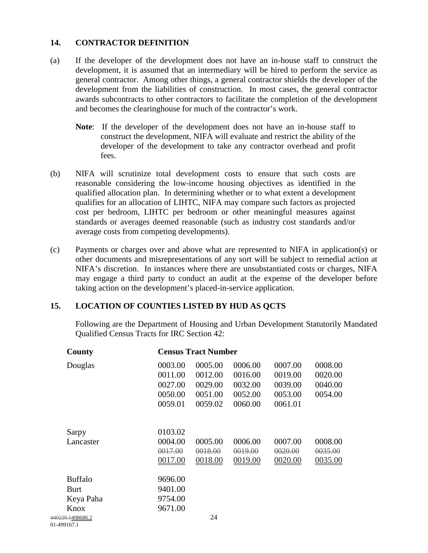#### **14. CONTRACTOR DEFINITION**

- (a) If the developer of the development does not have an in-house staff to construct the development, it is assumed that an intermediary will be hired to perform the service as general contractor. Among other things, a general contractor shields the developer of the development from the liabilities of construction. In most cases, the general contractor awards subcontracts to other contractors to facilitate the completion of the development and becomes the clearinghouse for much of the contractor's work.
	- **Note**: If the developer of the development does not have an in-house staff to construct the development, NIFA will evaluate and restrict the ability of the developer of the development to take any contractor overhead and profit fees.
- (b) NIFA will scrutinize total development costs to ensure that such costs are reasonable considering the low-income housing objectives as identified in the qualified allocation plan. In determining whether or to what extent a development qualifies for an allocation of LIHTC, NIFA may compare such factors as projected cost per bedroom, LIHTC per bedroom or other meaningful measures against standards or averages deemed reasonable (such as industry cost standards and/or average costs from competing developments).
- (c) Payments or charges over and above what are represented to NIFA in application(s) or other documents and misrepresentations of any sort will be subject to remedial action at NIFA's discretion. In instances where there are unsubstantiated costs or charges, NIFA may engage a third party to conduct an audit at the expense of the developer before taking action on the development's placed-in-service application.

## **15. LOCATION OF COUNTIES LISTED BY HUD AS QCTS**

Following are the Department of Housing and Urban Development Statutorily Mandated Qualified Census Tracts for IRC Section 42:

| County                         |         | <b>Census Tract Number</b> |         |         |         |
|--------------------------------|---------|----------------------------|---------|---------|---------|
| Douglas                        | 0003.00 | 0005.00                    | 0006.00 | 0007.00 | 0008.00 |
|                                | 0011.00 | 0012.00                    | 0016.00 | 0019.00 | 0020.00 |
|                                | 0027.00 | 0029.00                    | 0032.00 | 0039.00 | 0040.00 |
|                                | 0050.00 | 0051.00                    | 0052.00 | 0053.00 | 0054.00 |
|                                | 0059.01 | 0059.02                    | 0060.00 | 0061.01 |         |
| Sarpy                          | 0103.02 |                            |         |         |         |
| Lancaster                      | 0004.00 | 0005.00                    | 0006.00 | 0007.00 | 0008.00 |
|                                | 0017.00 | 0018.00                    | 0019.00 | 0020.00 | 0035.00 |
|                                | 0017.00 | 0018.00                    | 0019.00 | 0020.00 | 0035.00 |
| <b>Buffalo</b>                 | 9696.00 |                            |         |         |         |
| <b>Burt</b>                    | 9401.00 |                            |         |         |         |
| Keya Paha                      | 9754.00 |                            |         |         |         |
| Knox                           | 9671.00 |                            |         |         |         |
| 440220.1498686.2<br>01,1001771 |         | 24                         |         |         |         |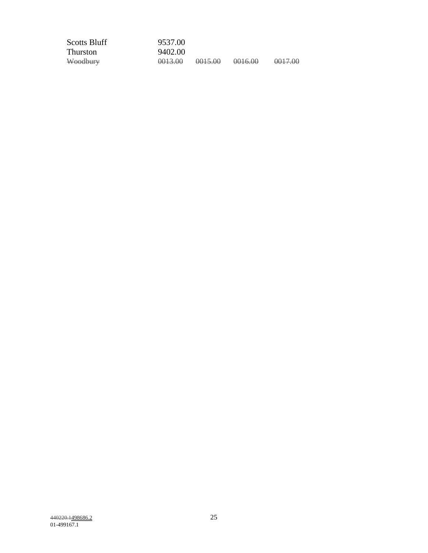| <b>Scotts Bluff</b> | 9537.00            |         |         |         |
|---------------------|--------------------|---------|---------|---------|
| <b>Thurston</b>     | 9402.00            |         |         |         |
| Woodbury            | <del>0013.00</del> | 0015.00 | 0016.00 | 0017.00 |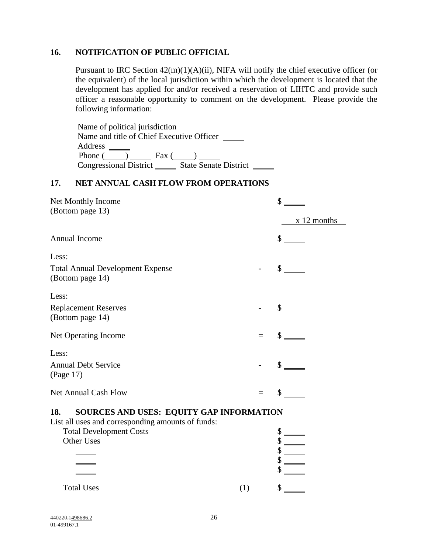#### **16. NOTIFICATION OF PUBLIC OFFICIAL**

Pursuant to IRC Section 42(m)(1)(A)(ii), NIFA will notify the chief executive officer (or the equivalent) of the local jurisdiction within which the development is located that the development has applied for and/or received a reservation of LIHTC and provide such officer a reasonable opportunity to comment on the development. Please provide the following information:

| Name of political jurisdiction _______          |  |
|-------------------------------------------------|--|
| Name and title of Chief Executive Officer       |  |
| Address                                         |  |
| Phone ( ) Fax (                                 |  |
| Congressional District<br>State Senate District |  |

#### **17. NET ANNUAL CASH FLOW FROM OPERATIONS**

| Net Monthly Income<br>(Bottom page 13)                                                               |     | \$<br>$x$ 12 months         |  |  |  |
|------------------------------------------------------------------------------------------------------|-----|-----------------------------|--|--|--|
|                                                                                                      |     |                             |  |  |  |
| Annual Income                                                                                        |     | $\mathbb{S}$                |  |  |  |
| Less:                                                                                                |     |                             |  |  |  |
| <b>Total Annual Development Expense</b><br>(Bottom page 14)                                          |     | $\frac{\text{S}}{\text{S}}$ |  |  |  |
| Less:                                                                                                |     |                             |  |  |  |
| <b>Replacement Reserves</b><br>(Bottom page 14)                                                      |     | $\frac{\text{S}}{\text{}}$  |  |  |  |
| Net Operating Income                                                                                 | $=$ | $\mathbb{S}$                |  |  |  |
| Less:                                                                                                |     |                             |  |  |  |
| <b>Annual Debt Service</b><br>(Page 17)                                                              |     | $\sim$                      |  |  |  |
| <b>Net Annual Cash Flow</b>                                                                          | $=$ | $\mathcal{S}$               |  |  |  |
| SOURCES AND USES: EQUITY GAP INFORMATION<br>18.<br>List all uses and corresponding amounts of funds: |     |                             |  |  |  |

| $\frac{1}{2}$ and $\frac{1}{2}$ and $\frac{1}{2}$ and $\frac{1}{2}$ and $\frac{1}{2}$ and $\frac{1}{2}$ and $\frac{1}{2}$ and $\frac{1}{2}$ and $\frac{1}{2}$ |                                |  |  |
|---------------------------------------------------------------------------------------------------------------------------------------------------------------|--------------------------------|--|--|
|                                                                                                                                                               | <b>Total Development Costs</b> |  |  |
|                                                                                                                                                               | Other Uses                     |  |  |
|                                                                                                                                                               |                                |  |  |
|                                                                                                                                                               |                                |  |  |
|                                                                                                                                                               |                                |  |  |
|                                                                                                                                                               |                                |  |  |
|                                                                                                                                                               | <b>Total Uses</b>              |  |  |
|                                                                                                                                                               |                                |  |  |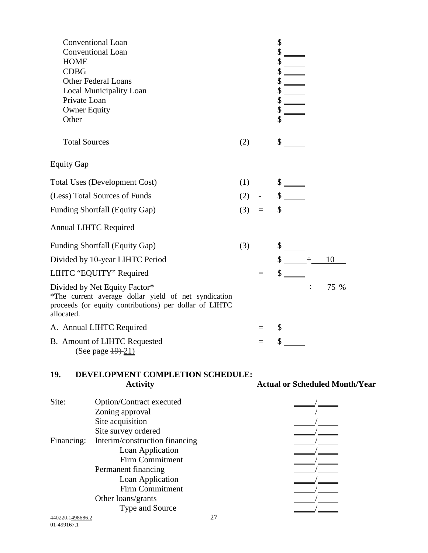| Conventional Loan<br>Conventional Loan<br><b>HOME</b><br><b>CDBG</b><br><b>Other Federal Loans</b><br>Local Municipality Loan<br>Private Loan<br><b>Owner Equity</b><br>Other $\frac{ }{ }$                                |     |     | $\frac{\text{S}}{\text{S}}$<br>$\frac{1}{1}$<br>$\frac{\text{S}}{\text{S}}$<br>$\text{\normalsize $s$} \underline{\hspace{10mm}}$<br>$\frac{\text{S}}{\text{S}}$<br>$\frac{\text{S}}{\text{S}}$<br>$\frac{\text{S}}{\text{S}}$ |
|----------------------------------------------------------------------------------------------------------------------------------------------------------------------------------------------------------------------------|-----|-----|--------------------------------------------------------------------------------------------------------------------------------------------------------------------------------------------------------------------------------|
| <b>Total Sources</b>                                                                                                                                                                                                       | (2) |     | $\frac{\text{S}}{\text{S}}$                                                                                                                                                                                                    |
| <b>Equity Gap</b>                                                                                                                                                                                                          |     |     |                                                                                                                                                                                                                                |
| <b>Total Uses (Development Cost)</b><br>(Less) Total Sources of Funds<br><b>Funding Shortfall (Equity Gap)</b><br><b>Annual LIHTC Required</b><br><b>Funding Shortfall (Equity Gap)</b><br>Divided by 10-year LIHTC Period | (3) | (1) | $\frac{\text{S}}{\text{S}}$<br>$(2) - \sqrt{$s$}$<br>$(3) = $$<br>$\frac{\text{S}}{\text{S}}$<br>$\frac{\text{S}}{\text{S}}$ $\frac{\text{S}}{\text{S}}$ $\frac{\text{S}}{\text{S}}$ $\frac{\text{S}}{\text{S}}$               |
| LIHTC "EQUITY" Required<br>Divided by Net Equity Factor*<br>*The current average dollar yield of net syndication<br>proceeds (or equity contributions) per dollar of LIHTC<br>allocated.                                   |     |     | $\div$<br>75 %                                                                                                                                                                                                                 |
| A. Annual LIHTC Required<br>B. Amount of LIHTC Requested<br>(See page $\frac{19}{21}$ )                                                                                                                                    |     |     | $\frac{\text{S}}{\text{S}}$<br>$\frac{\sqrt{2}}{2}$                                                                                                                                                                            |
|                                                                                                                                                                                                                            |     |     |                                                                                                                                                                                                                                |

#### **19. DEVELOPMENT COMPLETION SCHEDULE: Activity Actual or Scheduled Month/Year**

440220.1<u>498686.2</u> 27 Site: Option/Contract executed Zoning approval Site acquisition Site survey ordered 1999 and 1999 and 1999 and 1999 and 1999 and 1999 and 1999 and 1999 and 1999 and 1999 and 1999 and 1999 and 1999 and 1999 and 1999 and 1999 and 1999 and 1999 and 1999 and 1999 and 1999 and 1999 and 1999 Financing: Interim/construction financing Loan Application Firm Commitment Permanent financing Loan Application Firm Commitment Other loans/grants Type and Source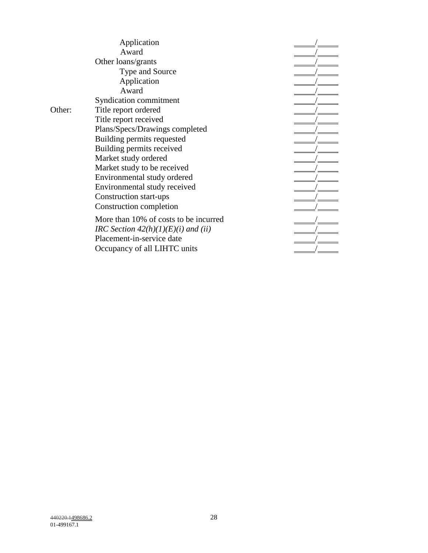**Application** Award  $\frac{1}{\sqrt{2\pi}}$ Other loans/grants Type and Source / Application<br>Award  $Award$  Syndication commitment / Other: Title report ordered Title report received / Plans/Specs/Drawings completed / Building permits requested / Building permits received / Market study ordered Market study to be received / Environmental study ordered / Environmental study received / Construction start-ups Construction completion / More than 10% of costs to be incurred

*IRC Section 42(h)(1)(E)(i) and (ii)* Placement-in-service date Occupancy of all LIHTC units /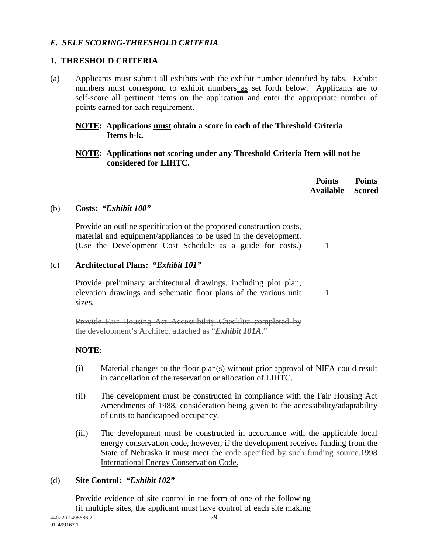# *E. SELF SCORING-THRESHOLD CRITERIA*

## **1. THRESHOLD CRITERIA**

(a) Applicants must submit all exhibits with the exhibit number identified by tabs. Exhibit numbers must correspond to exhibit numbers as set forth below. Applicants are to self-score all pertinent items on the application and enter the appropriate number of points earned for each requirement.

#### **NOTE: Applications must obtain a score in each of the Threshold Criteria Items b-k.**

#### **NOTE: Applications not scoring under any Threshold Criteria Item will not be considered for LIHTC.**

|     |                                                                                                                                                                                                       | <b>Points</b><br><b>Available</b> | <b>Points</b><br><b>Scored</b> |
|-----|-------------------------------------------------------------------------------------------------------------------------------------------------------------------------------------------------------|-----------------------------------|--------------------------------|
| (b) | Costs: "Exhibit 100"                                                                                                                                                                                  |                                   |                                |
|     | Provide an outline specification of the proposed construction costs,<br>material and equipment/appliances to be used in the development.<br>(Use the Development Cost Schedule as a guide for costs.) |                                   |                                |
| (c) | <b>Architectural Plans: "Exhibit 101"</b>                                                                                                                                                             |                                   |                                |
|     | Provide preliminary architectural drawings, including plot plan,<br>elevation drawings and schematic floor plans of the various unit<br>sizes.                                                        |                                   |                                |
|     | ovide Fair Housing Act Accessibility Checklist completed                                                                                                                                              |                                   |                                |

**NOTE**:

- (i) Material changes to the floor plan(s) without prior approval of NIFA could result in cancellation of the reservation or allocation of LIHTC.
- (ii) The development must be constructed in compliance with the Fair Housing Act Amendments of 1988, consideration being given to the accessibility/adaptability of units to handicapped occupancy.
- (iii) The development must be constructed in accordance with the applicable local energy conservation code, however, if the development receives funding from the State of Nebraska it must meet the code specified by such funding source.1998 International Energy Conservation Code.

## (d) **Site Control:** *"Exhibit 102"*

 Provide evidence of site control in the form of one of the following (if multiple sites, the applicant must have control of each site making

the development's Architect attached as "*Exhibit 101A*."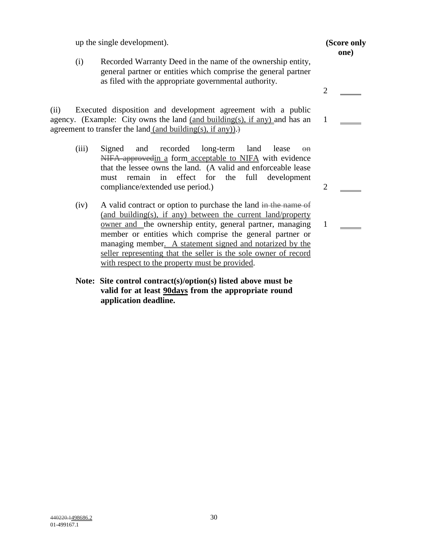up the single development). **(Score only** 

(i) Recorded Warranty Deed in the name of the ownership entity, general partner or entities which comprise the general partner as filed with the appropriate governmental authority.

(ii) Executed disposition and development agreement with a public agency. (Example: City owns the land (and building(s), if any) and has an agreement to transfer the land (and building(s), if any)).

- (iii) Signed and recorded long-term land lease on NIFA-approvedin a form acceptable to NIFA with evidence that the lessee owns the land. (A valid and enforceable lease must remain in effect for the full development compliance/extended use period.) 2
- (iv) A valid contract or option to purchase the land in the name of (and building(s), if any) between the current land/property owner and the ownership entity, general partner, managing member or entities which comprise the general partner or managing member. A statement signed and notarized by the seller representing that the seller is the sole owner of record with respect to the property must be provided.
- **Note: Site control contract(s)/option(s) listed above must be valid for at least 90days from the appropriate round application deadline.**

2 1

1

**one)**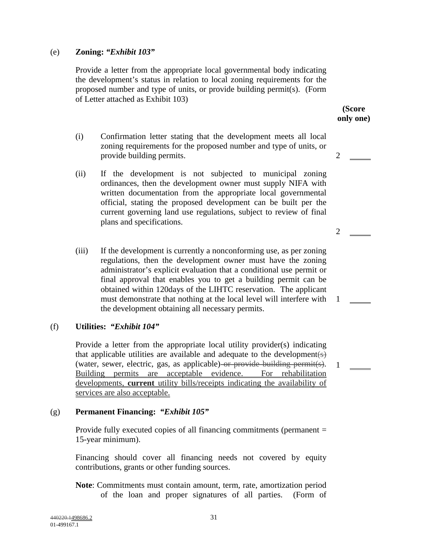#### (e) **Zoning:** *"Exhibit 103"*

 Provide a letter from the appropriate local governmental body indicating the development's status in relation to local zoning requirements for the proposed number and type of units, or provide building permit(s). (Form of Letter attached as Exhibit 103)

- (i) Confirmation letter stating that the development meets all local zoning requirements for the proposed number and type of units, or provide building permits. 2
- (ii) If the development is not subjected to municipal zoning ordinances, then the development owner must supply NIFA with written documentation from the appropriate local governmental official, stating the proposed development can be built per the current governing land use regulations, subject to review of final plans and specifications.
- (iii) If the development is currently a nonconforming use, as per zoning regulations, then the development owner must have the zoning administrator's explicit evaluation that a conditional use permit or final approval that enables you to get a building permit can be obtained within 120days of the LIHTC reservation. The applicant must demonstrate that nothing at the local level will interfere with 1 the development obtaining all necessary permits.

#### (f) **Utilities:** *"Exhibit 104"*

 Provide a letter from the appropriate local utility provider(s) indicating that applicable utilities are available and adequate to the development  $(s)$ (water, sewer, electric, gas, as applicable) or provide building permit(s). Building permits are acceptable evidence. For rehabilitation developments, **current** utility bills/receipts indicating the availability of services are also acceptable. 1

#### (g) **Permanent Financing:** *"Exhibit 105"*

 Provide fully executed copies of all financing commitments (permanent = 15-year minimum).

Financing should cover all financing needs not covered by equity contributions, grants or other funding sources.

**Note**: Commitments must contain amount, term, rate, amortization period of the loan and proper signatures of all parties. (Form of

**(Score only one)** 

2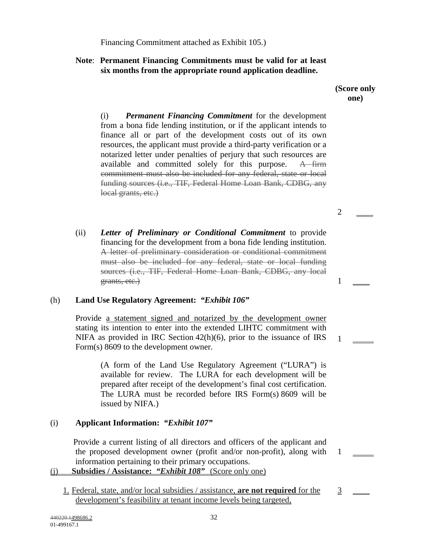Financing Commitment attached as Exhibit 105.)

## **Note**: **Permanent Financing Commitments must be valid for at least six months from the appropriate round application deadline.**

#### **(Score only one)**

(i) *Permanent Financing Commitment* for the development from a bona fide lending institution, or if the applicant intends to finance all or part of the development costs out of its own resources, the applicant must provide a third-party verification or a notarized letter under penalties of perjury that such resources are available and committed solely for this purpose. A firm commitment must also be included for any federal, state or local funding sources (i.e., TIF, Federal Home Loan Bank, CDBG, any local grants, etc.)

(ii) *Letter of Preliminary or Conditional Commitment* to provide financing for the development from a bona fide lending institution. A letter of preliminary consideration or conditional commitment must also be included for any federal, state or local funding sources (i.e., TIF, Federal Home Loan Bank, CDBG, any local grants, etc.) 1

## (h) **Land Use Regulatory Agreement:** *"Exhibit 106"*

 Provide a statement signed and notarized by the development owner stating its intention to enter into the extended LIHTC commitment with NIFA as provided in IRC Section 42(h)(6), prior to the issuance of IRS Form(s) 8609 to the development owner.

 (A form of the Land Use Regulatory Agreement ("LURA") is available for review. The LURA for each development will be prepared after receipt of the development's final cost certification. The LURA must be recorded before IRS Form(s) 8609 will be issued by NIFA.)

# (i) **Applicant Information:** *"Exhibit 107"*

 Provide a current listing of all directors and officers of the applicant and the proposed development owner (profit and/or non-profit), along with information pertaining to their primary occupations.

## (j) **Subsidies / Assistance:** *"Exhibit 108"* (Score only one)

1. Federal, state, and/or local subsidies / assistance, **are not required** for the development's feasibility at tenant income levels being targeted,

 $\overline{2}$ 

1

1

 $\overline{3}$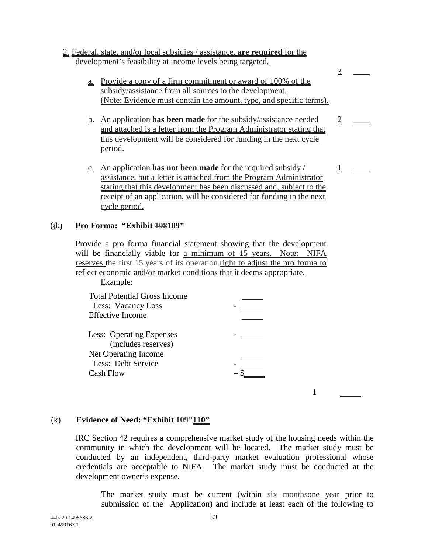#### 2. Federal, state, and/or local subsidies / assistance, **are required** for the development's feasibility at income levels being targeted,

a. Provide a copy of a firm commitment or award of 100% of the subsidy/assistance from all sources to the development. (Note: Evidence must contain the amount, type, and specific terms). 3

 $\overline{\phantom{a}}$ 

 $\overline{\phantom{a}}$ 

 $\overline{\phantom{a}}$ 

2

1

- b. An application **has been made** for the subsidy/assistance needed and attached is a letter from the Program Administrator stating that this development will be considered for funding in the next cycle period.
- c. An application **has not been made** for the required subsidy / assistance, but a letter is attached from the Program Administrator stating that this development has been discussed and, subject to the receipt of an application, will be considered for funding in the next cycle period.

## (jk) **Pro Forma: "Exhibit 108109"**

Provide a pro forma financial statement showing that the development will be financially viable for a minimum of 15 years. Note: NIFA reserves the first 15 years of its operation. right to adjust the pro forma to reflect economic and/or market conditions that it deems appropriate.

| Example:                                                                                                   |  |
|------------------------------------------------------------------------------------------------------------|--|
| <b>Total Potential Gross Income</b><br>Less: Vacancy Loss<br><b>Effective Income</b>                       |  |
| Less: Operating Expenses<br>(includes reserves)<br>Net Operating Income<br>Less: Debt Service<br>Cash Flow |  |
|                                                                                                            |  |

## (k) **Evidence of Need: "Exhibit 109"110"**

IRC Section 42 requires a comprehensive market study of the housing needs within the community in which the development will be located. The market study must be conducted by an independent, third-party market evaluation professional whose credentials are acceptable to NIFA. The market study must be conducted at the development owner's expense.

The market study must be current (within  $s$ ix monthsone year prior to submission of the Application) and include at least each of the following to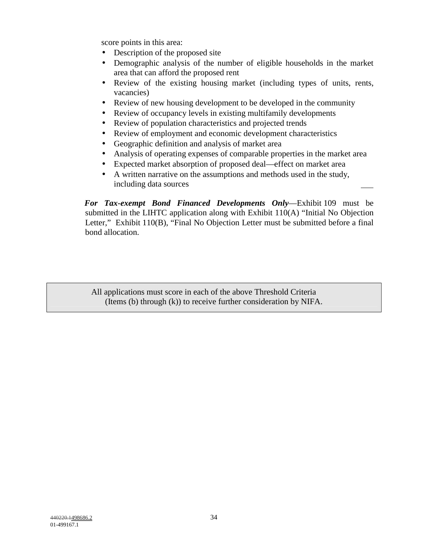score points in this area:

- Description of the proposed site
- Demographic analysis of the number of eligible households in the market area that can afford the proposed rent
- Review of the existing housing market (including types of units, rents, vacancies)
- Review of new housing development to be developed in the community
- Review of occupancy levels in existing multifamily developments
- Review of population characteristics and projected trends
- Review of employment and economic development characteristics
- Geographic definition and analysis of market area
- Analysis of operating expenses of comparable properties in the market area
- Expected market absorption of proposed deal—effect on market area
- A written narrative on the assumptions and methods used in the study, including data sources

 *For Tax-exempt Bond Financed Developments Only*—Exhibit 109 must be submitted in the LIHTC application along with Exhibit 110(A) "Initial No Objection Letter," Exhibit 110(B), "Final No Objection Letter must be submitted before a final bond allocation.

All applications must score in each of the above Threshold Criteria (Items (b) through (k)) to receive further consideration by NIFA.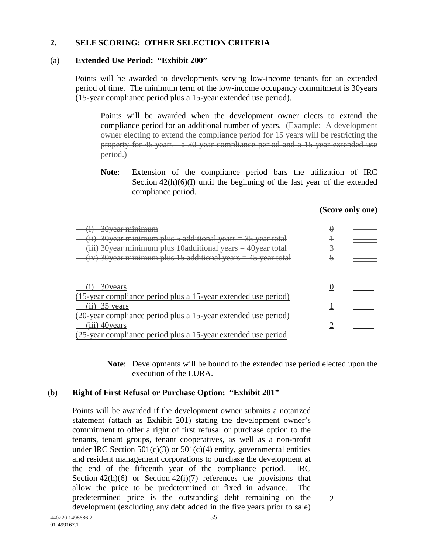## **2. SELF SCORING: OTHER SELECTION CRITERIA**

#### (a) **Extended Use Period: "Exhibit 200"**

Points will be awarded to developments serving low-income tenants for an extended period of time. The minimum term of the low-income occupancy commitment is 30years (15-year compliance period plus a 15-year extended use period).

 Points will be awarded when the development owner elects to extend the compliance period for an additional number of years. (Example: A development owner electing to extend the compliance period for 15 years will be restricting the property for 45 years—a 30 year compliance period and a 15-year extended use period.)

**Note**: Extension of the compliance period bars the utilization of IRC Section  $42(h)(6)(I)$  until the beginning of the last year of the extended compliance period.

#### **(Score only one)**

| 30year minimum<br>(ii) 30 year minimum plus 5 additional years = 35 year total<br>(iii) 30 year minimum plus 10 additional years = 40 year total<br>$(iv)$ 30 year minimum plus 15 additional years = 45 year total | ⊢ |  |
|---------------------------------------------------------------------------------------------------------------------------------------------------------------------------------------------------------------------|---|--|
| 30 years                                                                                                                                                                                                            |   |  |
| (15-year compliance period plus a 15-year extended use period)<br>35 years<br>11)                                                                                                                                   |   |  |
| <u>(20-year compliance period plus a 15-year extended use period)</u><br>$(iii)$ 40 vears                                                                                                                           |   |  |
| <u>(25-year compliance period plus a 15-year extended use period</u>                                                                                                                                                |   |  |

**Note**: Developments will be bound to the extended use period elected upon the execution of the LURA.

#### (b) **Right of First Refusal or Purchase Option: "Exhibit 201"**

Points will be awarded if the development owner submits a notarized statement (attach as Exhibit 201) stating the development owner's commitment to offer a right of first refusal or purchase option to the tenants, tenant groups, tenant cooperatives, as well as a non-profit under IRC Section  $501(c)(3)$  or  $501(c)(4)$  entity, governmental entities and resident management corporations to purchase the development at the end of the fifteenth year of the compliance period. IRC Section  $42(h)(6)$  or Section  $42(i)(7)$  references the provisions that allow the price to be predetermined or fixed in advance. The predetermined price is the outstanding debt remaining on the development (excluding any debt added in the five years prior to sale)

2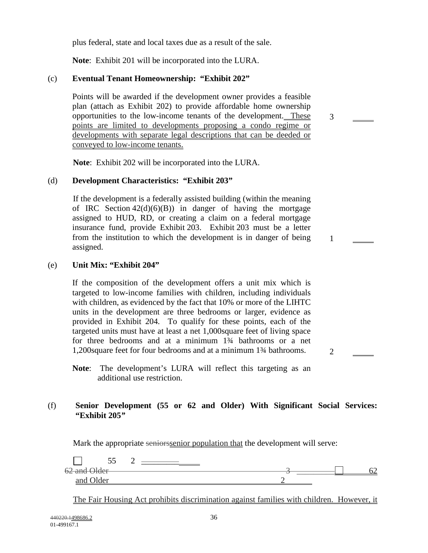plus federal, state and local taxes due as a result of the sale.

**Note**: Exhibit 201 will be incorporated into the LURA.

#### (c) **Eventual Tenant Homeownership: "Exhibit 202"**

Points will be awarded if the development owner provides a feasible plan (attach as Exhibit 202) to provide affordable home ownership opportunities to the low-income tenants of the development. These points are limited to developments proposing a condo regime or developments with separate legal descriptions that can be deeded or conveyed to low-income tenants.

3

1

2

**Note**: Exhibit 202 will be incorporated into the LURA.

#### (d) **Development Characteristics: "Exhibit 203"**

If the development is a federally assisted building (within the meaning of IRC Section  $42(d)(6)(B)$  in danger of having the mortgage assigned to HUD, RD, or creating a claim on a federal mortgage insurance fund, provide Exhibit 203. Exhibit 203 must be a letter from the institution to which the development is in danger of being assigned.

#### (e) **Unit Mix: "Exhibit 204"**

If the composition of the development offers a unit mix which is targeted to low-income families with children, including individuals with children, as evidenced by the fact that 10% or more of the LIHTC units in the development are three bedrooms or larger, evidence as provided in Exhibit 204. To qualify for these points, each of the targeted units must have at least a net 1,000square feet of living space for three bedrooms and at a minimum 1<sup>3</sup>/4 bathrooms or a net 1,200square feet for four bedrooms and at a minimum 1¾ bathrooms.

**Note**: The development's LURA will reflect this targeting as an additional use restriction.

#### (f) **Senior Development (55 or 62 and Older) With Significant Social Services: "Exhibit 205***"*

Mark the appropriate seniorssenior population that the development will serve:

| - -<br>JJ    |  |  |
|--------------|--|--|
| 62 and Older |  |  |
| n n<br>$-1$  |  |  |

The Fair Housing Act prohibits discrimination against families with children. However, it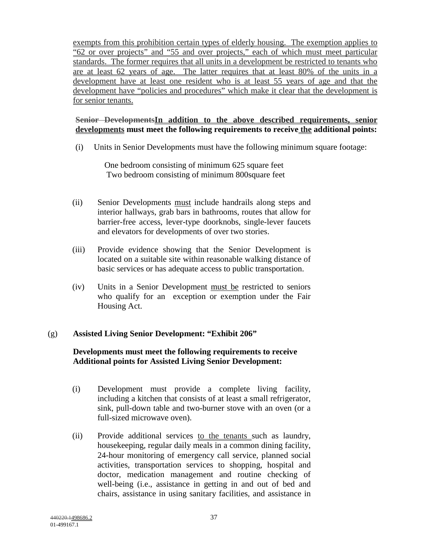exempts from this prohibition certain types of elderly housing. The exemption applies to "62 or over projects" and "55 and over projects," each of which must meet particular standards. The former requires that all units in a development be restricted to tenants who are at least 62 years of age. The latter requires that at least 80% of the units in a development have at least one resident who is at least 55 years of age and that the development have "policies and procedures" which make it clear that the development is for senior tenants.

## **Senior DevelopmentsIn addition to the above described requirements, senior**  developments must meet the following requirements to receive the additional points:

(i) Units in Senior Developments must have the following minimum square footage:

 One bedroom consisting of minimum 625 square feet Two bedroom consisting of minimum 800square feet

- (ii) Senior Developments must include handrails along steps and interior hallways, grab bars in bathrooms, routes that allow for barrier-free access, lever-type doorknobs, single-lever faucets and elevators for developments of over two stories.
- (iii) Provide evidence showing that the Senior Development is located on a suitable site within reasonable walking distance of basic services or has adequate access to public transportation.
- (iv) Units in a Senior Development must be restricted to seniors who qualify for an exception or exemption under the Fair Housing Act.

# (g) **Assisted Living Senior Development: "Exhibit 206"**

# **Developments must meet the following requirements to receive Additional points for Assisted Living Senior Development:**

- (i) Development must provide a complete living facility, including a kitchen that consists of at least a small refrigerator, sink, pull-down table and two-burner stove with an oven (or a full-sized microwave oven).
- (ii) Provide additional services to the tenants such as laundry, housekeeping, regular daily meals in a common dining facility, 24-hour monitoring of emergency call service, planned social activities, transportation services to shopping, hospital and doctor, medication management and routine checking of well-being (i.e., assistance in getting in and out of bed and chairs, assistance in using sanitary facilities, and assistance in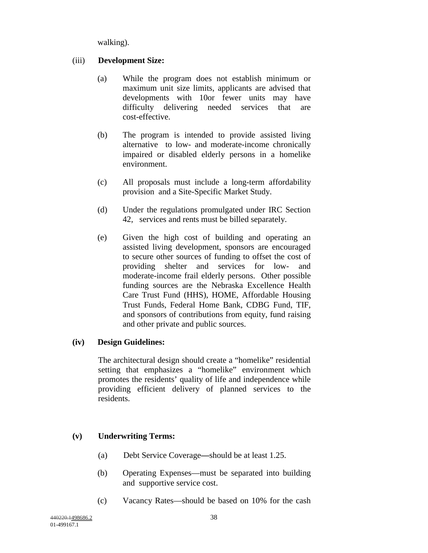walking).

## (iii) **Development Size:**

- (a) While the program does not establish minimum or maximum unit size limits, applicants are advised that developments with 10or fewer units may have difficulty delivering needed services that are cost-effective.
- (b) The program is intended to provide assisted living alternative to low- and moderate-income chronically impaired or disabled elderly persons in a homelike environment.
- (c) All proposals must include a long-term affordability provision and a Site-Specific Market Study.
- (d) Under the regulations promulgated under IRC Section 42, services and rents must be billed separately.
- (e) Given the high cost of building and operating an assisted living development, sponsors are encouraged to secure other sources of funding to offset the cost of providing shelter and services for low- and moderate-income frail elderly persons. Other possible funding sources are the Nebraska Excellence Health Care Trust Fund (HHS), HOME, Affordable Housing Trust Funds, Federal Home Bank, CDBG Fund, TIF, and sponsors of contributions from equity, fund raising and other private and public sources.

## **(iv) Design Guidelines:**

 The architectural design should create a "homelike" residential setting that emphasizes a "homelike" environment which promotes the residents' quality of life and independence while providing efficient delivery of planned services to the residents.

# **(v) Underwriting Terms:**

- (a) Debt Service Coverage**—**should be at least 1.25.
- (b) Operating Expenses—must be separated into building and supportive service cost.
- (c) Vacancy Rates—should be based on 10% for the cash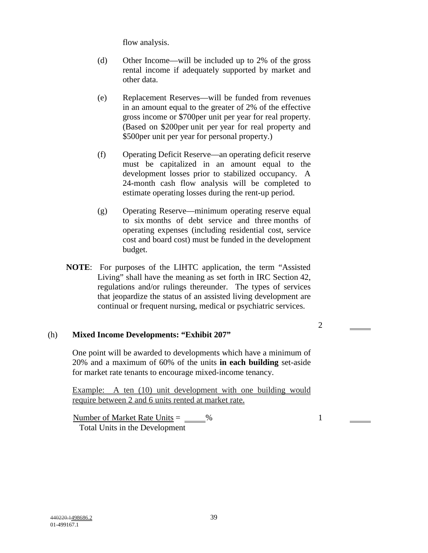flow analysis.

- (d) Other Income—will be included up to 2% of the gross rental income if adequately supported by market and other data.
- (e) Replacement Reserves—will be funded from revenues in an amount equal to the greater of 2% of the effective gross income or \$700per unit per year for real property. (Based on \$200per unit per year for real property and \$500per unit per year for personal property.)
- (f) Operating Deficit Reserve—an operating deficit reserve must be capitalized in an amount equal to the development losses prior to stabilized occupancy. A 24-month cash flow analysis will be completed to estimate operating losses during the rent-up period.
- (g) Operating Reserve—minimum operating reserve equal to six months of debt service and three months of operating expenses (including residential cost, service cost and board cost) must be funded in the development budget.
- **NOTE**: For purposes of the LIHTC application, the term "Assisted Living" shall have the meaning as set forth in IRC Section 42, regulations and/or rulings thereunder. The types of services that jeopardize the status of an assisted living development are continual or frequent nursing, medical or psychiatric services.

# (h) **Mixed Income Developments: "Exhibit 207"**

One point will be awarded to developments which have a minimum of 20% and a maximum of 60% of the units **in each building** set-aside for market rate tenants to encourage mixed-income tenancy.

Example: A ten (10) unit development with one building would require between 2 and 6 units rented at market rate.

Number of Market Rate Units  $=$   $\frac{96}{20}$ Total Units in the Development

2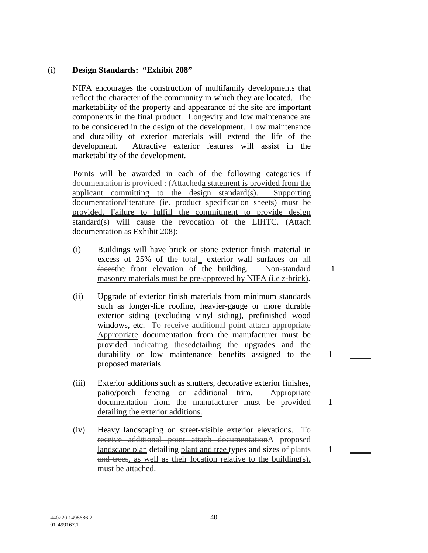# (i) **Design Standards: "Exhibit 208"**

NIFA encourages the construction of multifamily developments that reflect the character of the community in which they are located. The marketability of the property and appearance of the site are important components in the final product. Longevity and low maintenance are to be considered in the design of the development. Low maintenance and durability of exterior materials will extend the life of the development. Attractive exterior features will assist in the marketability of the development.

Points will be awarded in each of the following categories if documentation is provided : (Attacheda statement is provided from the applicant committing to the design standard(s). Supporting documentation/literature (ie. product specification sheets) must be provided. Failure to fulfill the commitment to provide design standard(s) will cause the revocation of the LIHTC. (Attach documentation as Exhibit 208):

(i) Buildings will have brick or stone exterior finish material in excess of 25% of the total exterior wall surfaces on all facesthe front elevation of the building. Non-standard masonry materials must be pre-approved by NIFA (i.e z-brick).

1

1

1

1

- (ii) Upgrade of exterior finish materials from minimum standards such as longer-life roofing, heavier-gauge or more durable exterior siding (excluding vinyl siding), prefinished wood windows, etc. To receive additional point attach appropriate Appropriate documentation from the manufacturer must be provided indicating thesedetailing the upgrades and the durability or low maintenance benefits assigned to the proposed materials.
- (iii) Exterior additions such as shutters, decorative exterior finishes, patio/porch fencing or additional trim. Appropriate documentation from the manufacturer must be provided detailing the exterior additions.
- (iv) Heavy landscaping on street-visible exterior elevations.  $\pm$ receive additional point attach documentationA proposed landscape plan detailing plant and tree types and sizes-of plants and trees, as well as their location relative to the building(s), must be attached.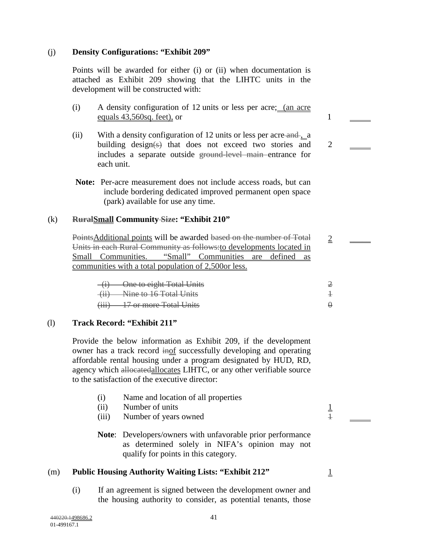## (j) **Density Configurations: "Exhibit 209"**

Points will be awarded for either (i) or (ii) when documentation is attached as Exhibit 209 showing that the LIHTC units in the development will be constructed with:

- (i) A density configuration of 12 units or less per acre; (an acre equals 43,560sq. feet), or 1
- (ii) With a density configuration of 12 units or less per acre-and-, a building design(s) that does not exceed two stories and includes a separate outside ground-level main entrance for each unit.
- **Note:** Per-acre measurement does not include access roads, but can include bordering dedicated improved permanent open space (park) available for use any time.

## (k) **RuralSmall Community Size: "Exhibit 210"**

PointsAdditional points will be awarded based on the number of Total Units in each Rural Community as follows:to developments located in Small Communities. "Small" Communities are defined as communities with a total population of 2,500or less.

| $(i)$ One to eight Total Units |  |
|--------------------------------|--|
| (ii) Nine to 16 Total Units    |  |
| (iii) 17 or more Total Units   |  |

## (l) **Track Record: "Exhibit 211"**

Provide the below information as Exhibit 209, if the development owner has a track record inof successfully developing and operating affordable rental housing under a program designated by HUD, RD, agency which allocatedallocates LIHTC, or any other verifiable source to the satisfaction of the executive director:

- (i) Name and location of all properties
- (ii) Number of units  $\frac{1}{2}$
- (iii) Number of years owned  $\frac{1}{1}$
- **Note**: Developers/owners with unfavorable prior performance as determined solely in NIFA's opinion may not qualify for points in this category.

### (m) **Public Housing Authority Waiting Lists: "Exhibit 212"**

(i) If an agreement is signed between the development owner and the housing authority to consider, as potential tenants, those

1

2

 $\overline{2}$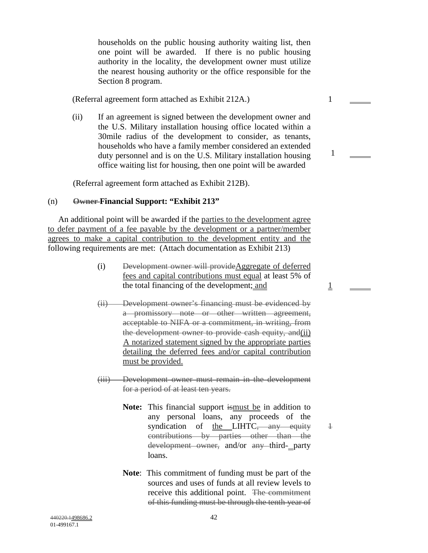households on the public housing authority waiting list, then one point will be awarded. If there is no public housing authority in the locality, the development owner must utilize the nearest housing authority or the office responsible for the Section 8 program.

(Referral agreement form attached as Exhibit 212A.) 1

(ii) If an agreement is signed between the development owner and the U.S. Military installation housing office located within a 30mile radius of the development to consider, as tenants, households who have a family member considered an extended duty personnel and is on the U.S. Military installation housing office waiting list for housing, then one point will be awarded

1

1

1

(Referral agreement form attached as Exhibit 212B).

## (n) **Owner Financial Support: "Exhibit 213"**

 An additional point will be awarded if the parties to the development agree to defer payment of a fee payable by the development or a partner/member agrees to make a capital contribution to the development entity and the following requirements are met: (Attach documentation as Exhibit 213)

- (i) Development owner will provideAggregate of deferred fees and capital contributions must equal at least 5% of the total financing of the development; and
- (ii) Development owner's financing must be evidenced by a promissory note or other written agreement, acceptable to NIFA or a commitment, in writing, from the development owner to provide cash equity, and(ii) A notarized statement signed by the appropriate parties detailing the deferred fees and/or capital contribution must be provided.
- (iii) Development owner must remain in the development for a period of at least ten years.
	- Note: This financial support is must be in addition to any personal loans, any proceeds of the syndication of the LIHTC, any equity contributions by parties other than the development owner, and/or any third- party loans.
	- **Note**: This commitment of funding must be part of the sources and uses of funds at all review levels to receive this additional point. The commitment of this funding must be through the tenth year of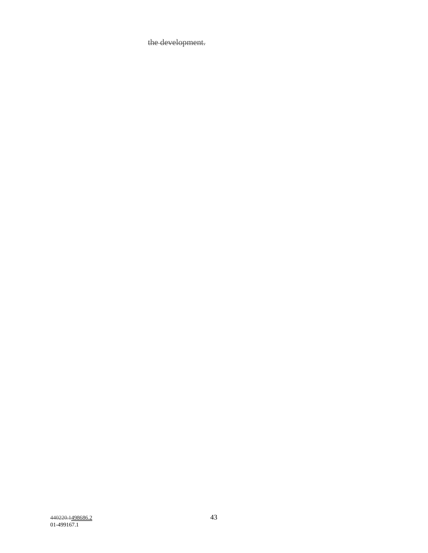the development.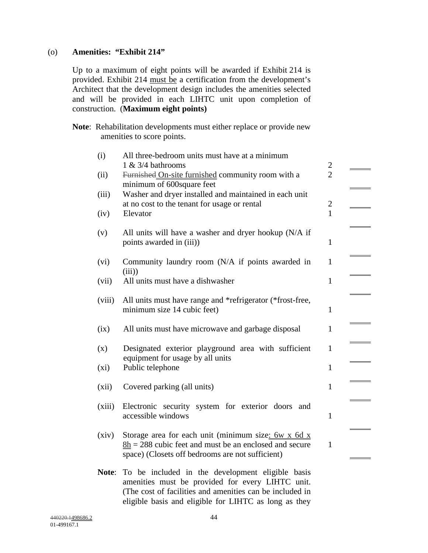## (o) **Amenities: "Exhibit 214"**

Up to a maximum of eight points will be awarded if Exhibit 214 is provided. Exhibit 214 must be a certification from the development's Architect that the development design includes the amenities selected and will be provided in each LIHTC unit upon completion of construction. (**Maximum eight points)** 

**Note**: Rehabilitation developments must either replace or provide new amenities to score points.

| (i)     | All three-bedroom units must have at a minimum                                                                                                                                    |                                  |  |
|---------|-----------------------------------------------------------------------------------------------------------------------------------------------------------------------------------|----------------------------------|--|
| (ii)    | $1 \& 3/4$ bathrooms<br>Furnished On-site furnished community room with a<br>minimum of 600 square feet                                                                           | $\overline{c}$<br>$\overline{2}$ |  |
| (iii)   | Washer and dryer installed and maintained in each unit<br>at no cost to the tenant for usage or rental                                                                            | $\overline{c}$                   |  |
| (iv)    | Elevator                                                                                                                                                                          | $\mathbf{1}$                     |  |
| (v)     | All units will have a washer and dryer hookup (N/A if<br>points awarded in (iii))                                                                                                 | $\mathbf{1}$                     |  |
| (vi)    | Community laundry room (N/A if points awarded in<br>(iii)                                                                                                                         | $\mathbf{1}$                     |  |
| (vii)   | All units must have a dishwasher                                                                                                                                                  | $\mathbf{1}$                     |  |
| (viii)  | All units must have range and *refrigerator (*frost-free,<br>minimum size 14 cubic feet)                                                                                          | $\mathbf{1}$                     |  |
| (ix)    | All units must have microwave and garbage disposal                                                                                                                                | $\mathbf{1}$                     |  |
| (x)     | Designated exterior playground area with sufficient<br>equipment for usage by all units                                                                                           | $\mathbf{1}$                     |  |
| $(x_i)$ | Public telephone                                                                                                                                                                  | $\mathbf{1}$                     |  |
| (xii)   | Covered parking (all units)                                                                                                                                                       | $\mathbf{1}$                     |  |
| (xiii)  | Electronic security system for exterior doors<br>and<br>accessible windows                                                                                                        | $\mathbf{1}$                     |  |
| (xiv)   | Storage area for each unit (minimum size: $6w \times 6d \times x$<br>$8h = 288$ cubic feet and must be an enclosed and secure<br>space) (Closets off bedrooms are not sufficient) | $\mathbf{1}$                     |  |
| Note:   | To be included in the development eligible basis<br>amenities must be provided for every LIHTC unit.<br>(The cost of facilities and amenities can be included in                  |                                  |  |

eligible basis and eligible for LIHTC as long as they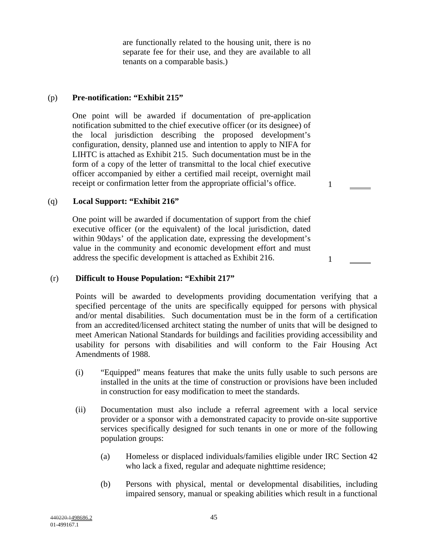are functionally related to the housing unit, there is no separate fee for their use, and they are available to all tenants on a comparable basis.)

## (p) **Pre-notification: "Exhibit 215"**

One point will be awarded if documentation of pre-application notification submitted to the chief executive officer (or its designee) of the local jurisdiction describing the proposed development's configuration, density, planned use and intention to apply to NIFA for LIHTC is attached as Exhibit 215. Such documentation must be in the form of a copy of the letter of transmittal to the local chief executive officer accompanied by either a certified mail receipt, overnight mail receipt or confirmation letter from the appropriate official's office.

## (q) **Local Support: "Exhibit 216"**

One point will be awarded if documentation of support from the chief executive officer (or the equivalent) of the local jurisdiction, dated within 90days' of the application date, expressing the development's value in the community and economic development effort and must address the specific development is attached as Exhibit 216.

## (r) **Difficult to House Population: "Exhibit 217"**

Points will be awarded to developments providing documentation verifying that a specified percentage of the units are specifically equipped for persons with physical and/or mental disabilities. Such documentation must be in the form of a certification from an accredited/licensed architect stating the number of units that will be designed to meet American National Standards for buildings and facilities providing accessibility and usability for persons with disabilities and will conform to the Fair Housing Act Amendments of 1988.

1

- (i) "Equipped" means features that make the units fully usable to such persons are installed in the units at the time of construction or provisions have been included in construction for easy modification to meet the standards.
- (ii) Documentation must also include a referral agreement with a local service provider or a sponsor with a demonstrated capacity to provide on-site supportive services specifically designed for such tenants in one or more of the following population groups:
	- (a) Homeless or displaced individuals/families eligible under IRC Section 42 who lack a fixed, regular and adequate nighttime residence;
	- (b) Persons with physical, mental or developmental disabilities, including impaired sensory, manual or speaking abilities which result in a functional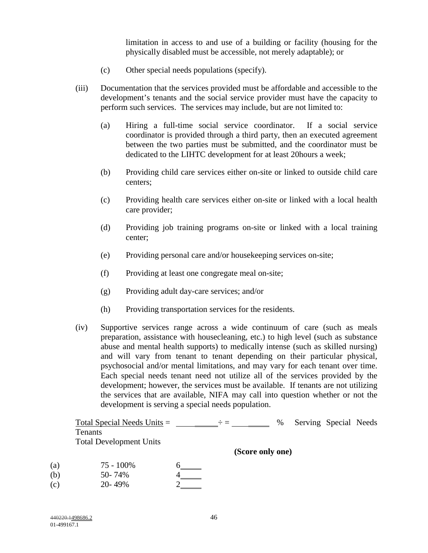limitation in access to and use of a building or facility (housing for the physically disabled must be accessible, not merely adaptable); or

- (c) Other special needs populations (specify).
- (iii) Documentation that the services provided must be affordable and accessible to the development's tenants and the social service provider must have the capacity to perform such services. The services may include, but are not limited to:
	- (a) Hiring a full-time social service coordinator. If a social service coordinator is provided through a third party, then an executed agreement between the two parties must be submitted, and the coordinator must be dedicated to the LIHTC development for at least 20hours a week;
	- (b) Providing child care services either on-site or linked to outside child care centers;
	- (c) Providing health care services either on-site or linked with a local health care provider;
	- (d) Providing job training programs on-site or linked with a local training center;
	- (e) Providing personal care and/or housekeeping services on-site;
	- (f) Providing at least one congregate meal on-site;
	- (g) Providing adult day-care services; and/or
	- (h) Providing transportation services for the residents.
- (iv) Supportive services range across a wide continuum of care (such as meals preparation, assistance with housecleaning, etc.) to high level (such as substance abuse and mental health supports) to medically intense (such as skilled nursing) and will vary from tenant to tenant depending on their particular physical, psychosocial and/or mental limitations, and may vary for each tenant over time. Each special needs tenant need not utilize all of the services provided by the development; however, the services must be available. If tenants are not utilizing the services that are available, NIFA may call into question whether or not the development is serving a special needs population.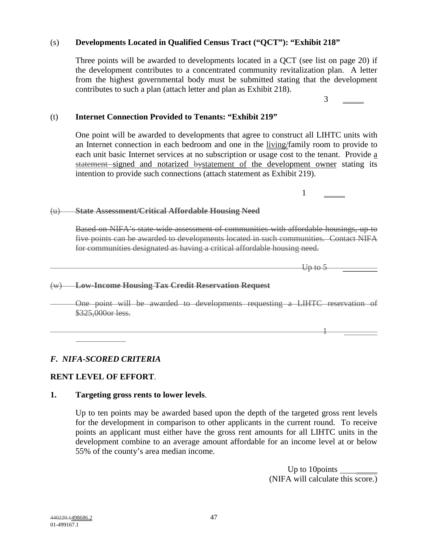# (s) **Developments Located in Qualified Census Tract ("QCT"): "Exhibit 218"**

 Three points will be awarded to developments located in a QCT (see list on page 20) if the development contributes to a concentrated community revitalization plan. A letter from the highest governmental body must be submitted stating that the development contributes to such a plan (attach letter and plan as Exhibit 218).

## (t) **Internet Connection Provided to Tenants: "Exhibit 219"**

One point will be awarded to developments that agree to construct all LIHTC units with an Internet connection in each bedroom and one in the living/family room to provide to each unit basic Internet services at no subscription or usage cost to the tenant. Provide a statement signed and notarized bystatement of the development owner stating its intention to provide such connections (attach statement as Exhibit 219).

#### (u) **State Assessment/Critical Affordable Housing Need**

1

Based on NIFA's state-wide assessment of communities with affordable housings, up to five points can be awarded to developments located in such communities. Contact NIFA for communities designated as having a critical affordable housing need.

 $-$ Up to 5

3

#### (w) **Low-Income Housing Tax Credit Reservation Request**

One point will be awarded to developments requesting a LIHTC reservation of \$325,000or less.

1

## *F. NIFA-SCORED CRITERIA*

## **RENT LEVEL OF EFFORT**.

### **1. Targeting gross rents to lower levels**.

Up to ten points may be awarded based upon the depth of the targeted gross rent levels for the development in comparison to other applicants in the current round. To receive points an applicant must either have the gross rent amounts for all LIHTC units in the development combine to an average amount affordable for an income level at or below 55% of the county's area median income.

> Up to 10 points \_ (NIFA will calculate this score.)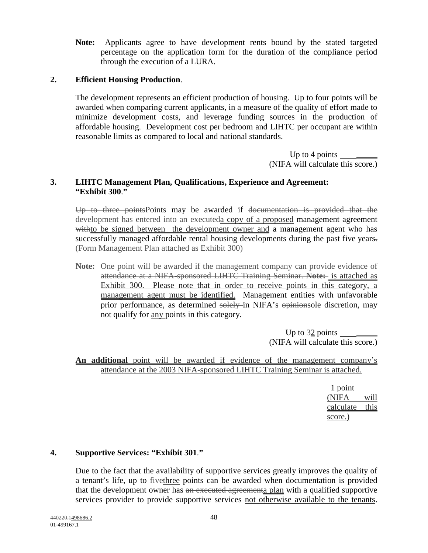**Note:** Applicants agree to have development rents bound by the stated targeted percentage on the application form for the duration of the compliance period through the execution of a LURA.

# **2. Efficient Housing Production**.

The development represents an efficient production of housing. Up to four points will be awarded when comparing current applicants, in a measure of the quality of effort made to minimize development costs, and leverage funding sources in the production of affordable housing. Development cost per bedroom and LIHTC per occupant are within reasonable limits as compared to local and national standards.

> Up to 4 points (NIFA will calculate this score.)

## **3. LIHTC Management Plan, Qualifications, Experience and Agreement: "Exhibit 300**.**"**

Up to three pointsPoints may be awarded if documentation is provided that the development has entered into an executeda copy of a proposed management agreement withto be signed between the development owner and a management agent who has successfully managed affordable rental housing developments during the past five years. (Form Management Plan attached as Exhibit 300)

**Note:** One point will be awarded if the management company can provide evidence of attendance at a NIFA-sponsored LIHTC Training Seminar. **Note:** is attached as Exhibit 300. Please note that in order to receive points in this category, a management agent must be identified. Management entities with unfavorable prior performance, as determined solely in NIFA's opinionsole discretion, may not qualify for any points in this category.

> Up to  $\frac{32}{2}$  points (NIFA will calculate this score.)

**An additional** point will be awarded if evidence of the management company's attendance at the 2003 NIFA-sponsored LIHTC Training Seminar is attached.

> 1 point (NIFA will calculate this score.)

# **4. Supportive Services: "Exhibit 301**.**"**

Due to the fact that the availability of supportive services greatly improves the quality of a tenant's life, up to fivethree points can be awarded when documentation is provided that the development owner has an executed agreementa plan with a qualified supportive services provider to provide supportive services not otherwise available to the tenants.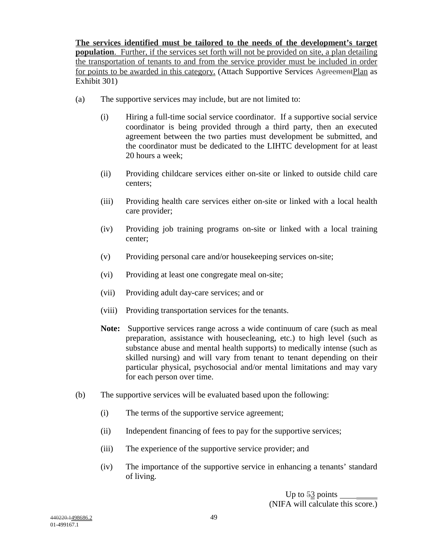**The services identified must be tailored to the needs of the development's target population**. Further, if the services set forth will not be provided on site, a plan detailing the transportation of tenants to and from the service provider must be included in order for points to be awarded in this category. (Attach Supportive Services AgreementPlan as Exhibit 301)

- (a) The supportive services may include, but are not limited to:
	- (i) Hiring a full-time social service coordinator. If a supportive social service coordinator is being provided through a third party, then an executed agreement between the two parties must development be submitted, and the coordinator must be dedicated to the LIHTC development for at least 20 hours a week;
	- (ii) Providing childcare services either on-site or linked to outside child care centers;
	- (iii) Providing health care services either on-site or linked with a local health care provider;
	- (iv) Providing job training programs on-site or linked with a local training center;
	- (v) Providing personal care and/or housekeeping services on-site;
	- (vi) Providing at least one congregate meal on-site;
	- (vii) Providing adult day-care services; and or
	- (viii) Providing transportation services for the tenants.
	- **Note:** Supportive services range across a wide continuum of care (such as meal preparation, assistance with housecleaning, etc.) to high level (such as substance abuse and mental health supports) to medically intense (such as skilled nursing) and will vary from tenant to tenant depending on their particular physical, psychosocial and/or mental limitations and may vary for each person over time.
- (b) The supportive services will be evaluated based upon the following:
	- (i) The terms of the supportive service agreement;
	- (ii) Independent financing of fees to pay for the supportive services;
	- (iii) The experience of the supportive service provider; and
	- (iv) The importance of the supportive service in enhancing a tenants' standard of living.

Up to 53 points (NIFA will calculate this score.)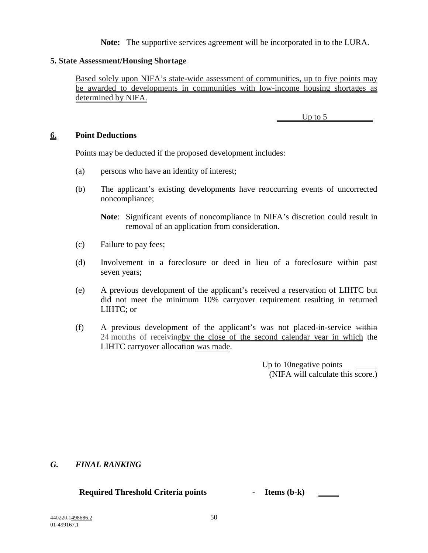**Note:** The supportive services agreement will be incorporated in to the LURA.

# **5. State Assessment/Housing Shortage**

Based solely upon NIFA's state-wide assessment of communities, up to five points may be awarded to developments in communities with low-income housing shortages as determined by NIFA.

Up to 5

## **6. Point Deductions**

Points may be deducted if the proposed development includes:

- (a) persons who have an identity of interest;
- (b) The applicant's existing developments have reoccurring events of uncorrected noncompliance;

**Note**: Significant events of noncompliance in NIFA's discretion could result in removal of an application from consideration.

- (c) Failure to pay fees;
- (d) Involvement in a foreclosure or deed in lieu of a foreclosure within past seven years;
- (e) A previous development of the applicant's received a reservation of LIHTC but did not meet the minimum 10% carryover requirement resulting in returned LIHTC; or
- (f) A previous development of the applicant's was not placed-in-service within 24 months of receivingby the close of the second calendar year in which the LIHTC carryover allocation was made.

Up to 10negative points (NIFA will calculate this score.)

## *G. FINAL RANKING*

## **Required Threshold Criteria points - Items (b-k)**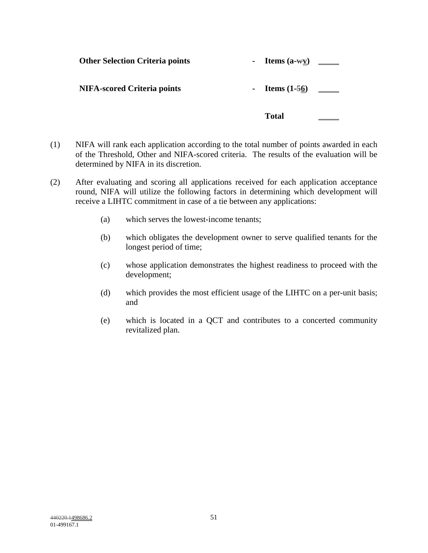|                                        | Total                    |  |
|----------------------------------------|--------------------------|--|
| <b>NIFA-scored Criteria points</b>     |                          |  |
| <b>Other Selection Criteria points</b> | - Items $(a-wy)$ _______ |  |

- (1) NIFA will rank each application according to the total number of points awarded in each of the Threshold, Other and NIFA-scored criteria. The results of the evaluation will be determined by NIFA in its discretion.
- (2) After evaluating and scoring all applications received for each application acceptance round, NIFA will utilize the following factors in determining which development will receive a LIHTC commitment in case of a tie between any applications:
	- (a) which serves the lowest-income tenants;
	- (b) which obligates the development owner to serve qualified tenants for the longest period of time;
	- (c) whose application demonstrates the highest readiness to proceed with the development;
	- (d) which provides the most efficient usage of the LIHTC on a per-unit basis; and
	- (e) which is located in a QCT and contributes to a concerted community revitalized plan.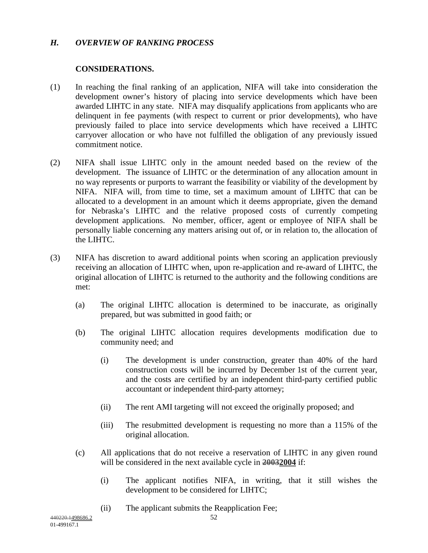# *H. OVERVIEW OF RANKING PROCESS*

# **CONSIDERATIONS.**

- (1) In reaching the final ranking of an application, NIFA will take into consideration the development owner's history of placing into service developments which have been awarded LIHTC in any state. NIFA may disqualify applications from applicants who are delinquent in fee payments (with respect to current or prior developments), who have previously failed to place into service developments which have received a LIHTC carryover allocation or who have not fulfilled the obligation of any previously issued commitment notice.
- (2) NIFA shall issue LIHTC only in the amount needed based on the review of the development. The issuance of LIHTC or the determination of any allocation amount in no way represents or purports to warrant the feasibility or viability of the development by NIFA. NIFA will, from time to time, set a maximum amount of LIHTC that can be allocated to a development in an amount which it deems appropriate, given the demand for Nebraska's LIHTC and the relative proposed costs of currently competing development applications. No member, officer, agent or employee of NIFA shall be personally liable concerning any matters arising out of, or in relation to, the allocation of the LIHTC.
- (3) NIFA has discretion to award additional points when scoring an application previously receiving an allocation of LIHTC when, upon re-application and re-award of LIHTC, the original allocation of LIHTC is returned to the authority and the following conditions are met:
	- (a) The original LIHTC allocation is determined to be inaccurate, as originally prepared, but was submitted in good faith; or
	- (b) The original LIHTC allocation requires developments modification due to community need; and
		- (i) The development is under construction, greater than 40% of the hard construction costs will be incurred by December 1st of the current year, and the costs are certified by an independent third-party certified public accountant or independent third-party attorney;
		- (ii) The rent AMI targeting will not exceed the originally proposed; and
		- (iii) The resubmitted development is requesting no more than a 115% of the original allocation.
	- (c) All applications that do not receive a reservation of LIHTC in any given round will be considered in the next available cycle in **20032004** if:
		- (i) The applicant notifies NIFA, in writing, that it still wishes the development to be considered for LIHTC;
		- (ii) The applicant submits the Reapplication Fee;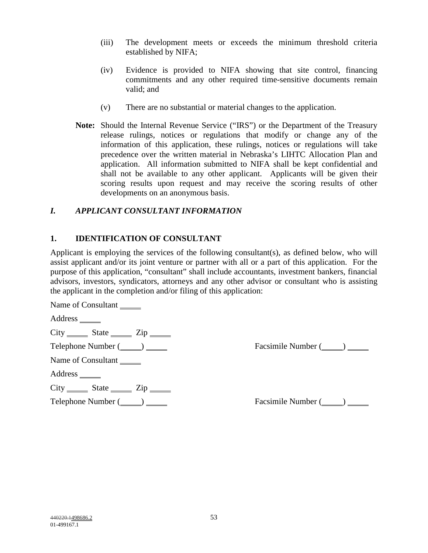- (iii) The development meets or exceeds the minimum threshold criteria established by NIFA;
- (iv) Evidence is provided to NIFA showing that site control, financing commitments and any other required time-sensitive documents remain valid; and
- (v) There are no substantial or material changes to the application.
- **Note:** Should the Internal Revenue Service ("IRS") or the Department of the Treasury release rulings, notices or regulations that modify or change any of the information of this application, these rulings, notices or regulations will take precedence over the written material in Nebraska's LIHTC Allocation Plan and application. All information submitted to NIFA shall be kept confidential and shall not be available to any other applicant. Applicants will be given their scoring results upon request and may receive the scoring results of other developments on an anonymous basis.

# *I. APPLICANT CONSULTANT INFORMATION*

# **1. IDENTIFICATION OF CONSULTANT**

Applicant is employing the services of the following consultant(s), as defined below, who will assist applicant and/or its joint venture or partner with all or a part of this application. For the purpose of this application, "consultant" shall include accountants, investment bankers, financial advisors, investors, syndicators, attorneys and any other advisor or consultant who is assisting the applicant in the completion and/or filing of this application:

Name of Consultant

Address \_\_\_\_\_\_\_

 $City$   $State$   $Zip$   $Zip$ 

Name of Consultant

Address \_\_\_\_\_\_\_

 $City$  State  $Zip$ 

Telephone Number ( ) Facsimile Number ( )

Telephone Number ( ) Facsimile Number ( )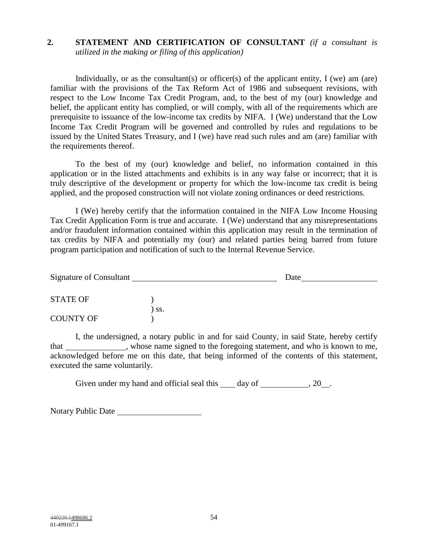# **2. STATEMENT AND CERTIFICATION OF CONSULTANT** *(if a consultant is utilized in the making or filing of this application)*

Individually, or as the consultant(s) or officer(s) of the applicant entity, I (we) am (are) familiar with the provisions of the Tax Reform Act of 1986 and subsequent revisions, with respect to the Low Income Tax Credit Program, and, to the best of my (our) knowledge and belief, the applicant entity has complied, or will comply, with all of the requirements which are prerequisite to issuance of the low-income tax credits by NIFA. I (We) understand that the Low Income Tax Credit Program will be governed and controlled by rules and regulations to be issued by the United States Treasury, and I (we) have read such rules and am (are) familiar with the requirements thereof.

To the best of my (our) knowledge and belief, no information contained in this application or in the listed attachments and exhibits is in any way false or incorrect; that it is truly descriptive of the development or property for which the low-income tax credit is being applied, and the proposed construction will not violate zoning ordinances or deed restrictions.

I (We) hereby certify that the information contained in the NIFA Low Income Housing Tax Credit Application Form is true and accurate. I (We) understand that any misrepresentations and/or fraudulent information contained within this application may result in the termination of tax credits by NIFA and potentially my (our) and related parties being barred from future program participation and notification of such to the Internal Revenue Service.

| Signature of Consultant |     | Date |  |
|-------------------------|-----|------|--|
| <b>STATE OF</b>         |     |      |  |
| <b>COUNTY OF</b>        | SS. |      |  |

I, the undersigned, a notary public in and for said County, in said State, hereby certify that , whose name signed to the foregoing statement, and who is known to me, acknowledged before me on this date, that being informed of the contents of this statement, executed the same voluntarily.

Given under my hand and official seal this  $\_\_\_$  day of  $\_\_\_\_\_$ , 20  $\_\_\_\_\$ .

Notary Public Date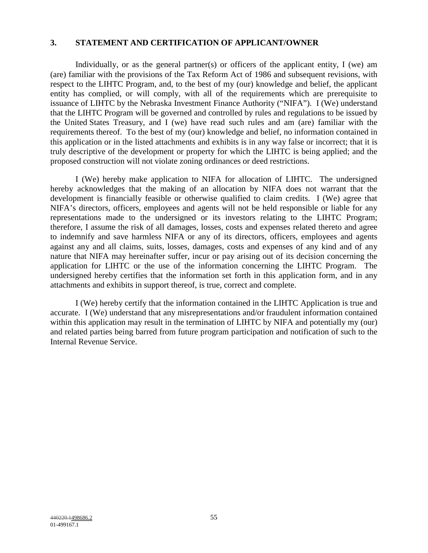## **3. STATEMENT AND CERTIFICATION OF APPLICANT/OWNER**

Individually, or as the general partner(s) or officers of the applicant entity, I (we) am (are) familiar with the provisions of the Tax Reform Act of 1986 and subsequent revisions, with respect to the LIHTC Program, and, to the best of my (our) knowledge and belief, the applicant entity has complied, or will comply, with all of the requirements which are prerequisite to issuance of LIHTC by the Nebraska Investment Finance Authority ("NIFA"). I (We) understand that the LIHTC Program will be governed and controlled by rules and regulations to be issued by the United States Treasury, and I (we) have read such rules and am (are) familiar with the requirements thereof. To the best of my (our) knowledge and belief, no information contained in this application or in the listed attachments and exhibits is in any way false or incorrect; that it is truly descriptive of the development or property for which the LIHTC is being applied; and the proposed construction will not violate zoning ordinances or deed restrictions.

I (We) hereby make application to NIFA for allocation of LIHTC. The undersigned hereby acknowledges that the making of an allocation by NIFA does not warrant that the development is financially feasible or otherwise qualified to claim credits. I (We) agree that NIFA's directors, officers, employees and agents will not be held responsible or liable for any representations made to the undersigned or its investors relating to the LIHTC Program; therefore, I assume the risk of all damages, losses, costs and expenses related thereto and agree to indemnify and save harmless NIFA or any of its directors, officers, employees and agents against any and all claims, suits, losses, damages, costs and expenses of any kind and of any nature that NIFA may hereinafter suffer, incur or pay arising out of its decision concerning the application for LIHTC or the use of the information concerning the LIHTC Program. The undersigned hereby certifies that the information set forth in this application form, and in any attachments and exhibits in support thereof, is true, correct and complete.

I (We) hereby certify that the information contained in the LIHTC Application is true and accurate. I (We) understand that any misrepresentations and/or fraudulent information contained within this application may result in the termination of LIHTC by NIFA and potentially my (our) and related parties being barred from future program participation and notification of such to the Internal Revenue Service.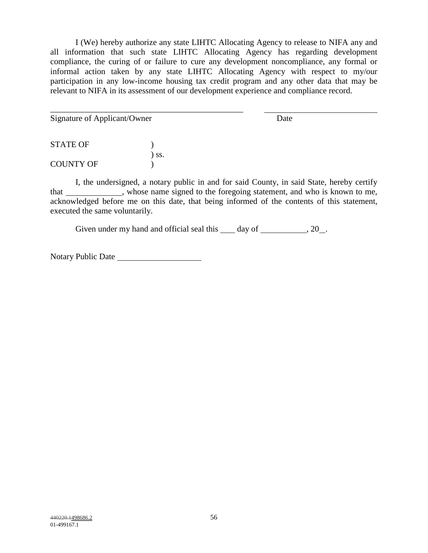I (We) hereby authorize any state LIHTC Allocating Agency to release to NIFA any and all information that such state LIHTC Allocating Agency has regarding development compliance, the curing of or failure to cure any development noncompliance, any formal or informal action taken by any state LIHTC Allocating Agency with respect to my/our participation in any low-income housing tax credit program and any other data that may be relevant to NIFA in its assessment of our development experience and compliance record.

Signature of Applicant/Owner Date

STATE OF  $\qquad \qquad$  ) ) ss. COUNTY OF )

\_\_\_\_\_\_\_\_\_\_\_\_\_\_\_\_\_\_\_\_\_\_\_\_\_\_\_\_\_\_\_\_\_\_\_\_\_\_\_\_\_\_\_\_\_\_

I, the undersigned, a notary public in and for said County, in said State, hereby certify that \_\_\_\_\_\_\_\_\_\_, whose name signed to the foregoing statement, and who is known to me, acknowledged before me on this date, that being informed of the contents of this statement, executed the same voluntarily.

Given under my hand and official seal this  $\_\_\_$  day of  $\_\_\_\_\_$ , 20 $\_\_\_\_\$ .

Notary Public Date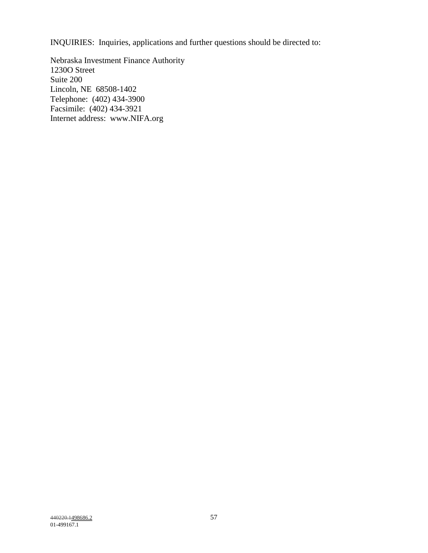INQUIRIES: Inquiries, applications and further questions should be directed to:

Nebraska Investment Finance Authority 1230O Street Suite 200 Lincoln, NE 68508-1402 Telephone: (402) 434-3900 Facsimile: (402) 434-3921 Internet address: www.NIFA.org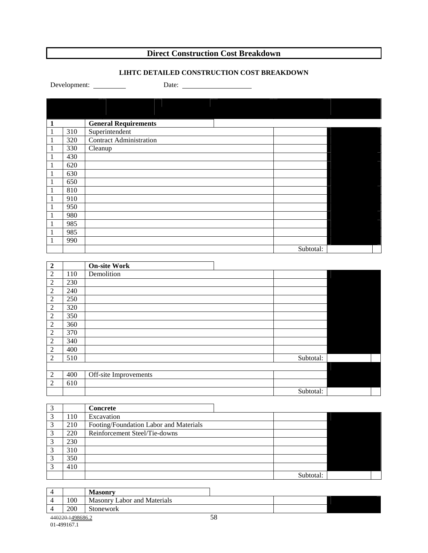# **Direct Construction Cost Breakdown**

## **LIHTC DETAILED CONSTRUCTION COST BREAKDOWN**

Development: Date:

| $\mathbf{1}$ |     | <b>General Requirements</b>    |           |  |
|--------------|-----|--------------------------------|-----------|--|
| 1            | 310 | Superintendent                 |           |  |
| 1            | 320 | <b>Contract Administration</b> |           |  |
| 1            | 330 | Cleanup                        |           |  |
| 1            | 430 |                                |           |  |
| 1            | 620 |                                |           |  |
| 1            | 630 |                                |           |  |
| 1            | 650 |                                |           |  |
| 1            | 810 |                                |           |  |
| 1            | 910 |                                |           |  |
| 1            | 950 |                                |           |  |
| 1            | 980 |                                |           |  |
| 1            | 985 |                                |           |  |
|              | 985 |                                |           |  |
|              | 990 |                                |           |  |
|              |     |                                | Subtotal: |  |

| $\boldsymbol{2}$ |     | <b>On-site Work</b>   |           |  |
|------------------|-----|-----------------------|-----------|--|
| $\mathfrak{2}$   | 110 | Demolition            |           |  |
| $\overline{2}$   | 230 |                       |           |  |
| $\overline{2}$   | 240 |                       |           |  |
| 2                | 250 |                       |           |  |
| 2                | 320 |                       |           |  |
| $\sqrt{2}$       | 350 |                       |           |  |
| $\mathfrak{2}$   | 360 |                       |           |  |
| 2                | 370 |                       |           |  |
| $\overline{2}$   | 340 |                       |           |  |
| 2                | 400 |                       |           |  |
| 2                | 510 |                       | Subtotal: |  |
|                  |     |                       |           |  |
| $\mathfrak{2}$   | 400 | Off-site Improvements |           |  |
| 2                | 610 |                       |           |  |
|                  |     |                       | Subtotal: |  |

| $\sim$ |     | <b>Concrete</b>                        |           |  |
|--------|-----|----------------------------------------|-----------|--|
| ⌒      | 110 | Excavation                             |           |  |
| 2      | 210 | Footing/Foundation Labor and Materials |           |  |
| 2      | 220 | Reinforcement Steel/Tie-downs          |           |  |
| 2      | 230 |                                        |           |  |
| 2      | 310 |                                        |           |  |
| 2      | 350 |                                        |           |  |
|        | 410 |                                        |           |  |
|        |     |                                        | Subtotal: |  |

|                  | <b>Masonry</b>              |    |  |
|------------------|-----------------------------|----|--|
| 100              | Masonry Labor and Materials |    |  |
| 200              | Stonework                   |    |  |
| 440220.1498686.2 |                             | 58 |  |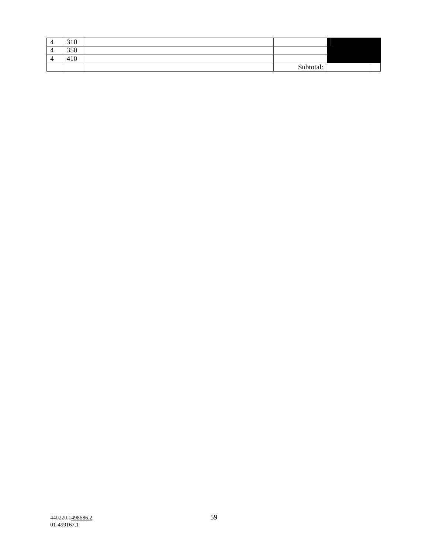| $\Delta$<br>┑ | 210<br>1 V<br>ັ         |           |  |
|---------------|-------------------------|-----------|--|
| $\prime$<br>┑ | 250<br>350              |           |  |
| ∠<br>┑        | $\overline{10}$<br>41 U |           |  |
|               |                         | Subtotal: |  |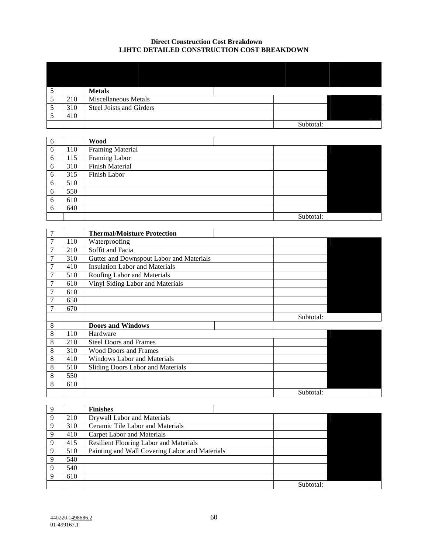#### **Direct Construction Cost Breakdown LIHTC DETAILED CONSTRUCTION COST BREAKDOWN**

|     | <b>Metals</b>            |           |  |
|-----|--------------------------|-----------|--|
| 210 | Miscellaneous Metals     |           |  |
| 310 | Steel Joists and Girders |           |  |
| 410 |                          |           |  |
|     |                          | Subtotal: |  |

| 6 |     | <b>Wood</b>            |           |  |
|---|-----|------------------------|-----------|--|
| 6 | 110 | Framing Material       |           |  |
| 6 | 115 | Framing Labor          |           |  |
| 6 | 310 | <b>Finish Material</b> |           |  |
| 6 | 315 | Finish Labor           |           |  |
| 6 | 510 |                        |           |  |
| 6 | 550 |                        |           |  |
| 6 | 610 |                        |           |  |
| 6 | 640 |                        |           |  |
|   |     |                        | Subtotal: |  |

|   |     | <b>Thermal/Moisture Protection</b>       |           |  |
|---|-----|------------------------------------------|-----------|--|
|   | 110 | Waterproofing                            |           |  |
|   | 210 | Soffit and Facia                         |           |  |
|   | 310 | Gutter and Downspout Labor and Materials |           |  |
|   | 410 | <b>Insulation Labor and Materials</b>    |           |  |
| 7 | 510 | Roofing Labor and Materials              |           |  |
| 7 | 610 | Vinyl Siding Labor and Materials         |           |  |
| 7 | 610 |                                          |           |  |
|   | 650 |                                          |           |  |
|   | 670 |                                          |           |  |
|   |     |                                          |           |  |
|   |     |                                          | Subtotal: |  |
| 8 |     | <b>Doors and Windows</b>                 |           |  |
| 8 | 110 | Hardware                                 |           |  |
| 8 | 210 | <b>Steel Doors and Frames</b>            |           |  |
| 8 | 310 | <b>Wood Doors and Frames</b>             |           |  |
| 8 | 410 | <b>Windows Labor and Materials</b>       |           |  |
| 8 | 510 | Sliding Doors Labor and Materials        |           |  |
| 8 | 550 |                                          |           |  |
| 8 | 610 |                                          |           |  |

|             |     | <b>Finishes</b>                                |           |  |  |  |  |
|-------------|-----|------------------------------------------------|-----------|--|--|--|--|
| 9           | 210 | Drywall Labor and Materials                    |           |  |  |  |  |
| $\mathbf Q$ | 310 | Ceramic Tile Labor and Materials               |           |  |  |  |  |
| Q           | 410 | Carpet Labor and Materials                     |           |  |  |  |  |
| $\mathbf Q$ | 415 | <b>Resilient Flooring Labor and Materials</b>  |           |  |  |  |  |
| 9           | 510 | Painting and Wall Covering Labor and Materials |           |  |  |  |  |
| 9           | 540 |                                                |           |  |  |  |  |
| 9           | 540 |                                                |           |  |  |  |  |
| $\Omega$    | 610 |                                                |           |  |  |  |  |
|             |     |                                                | Subtotal: |  |  |  |  |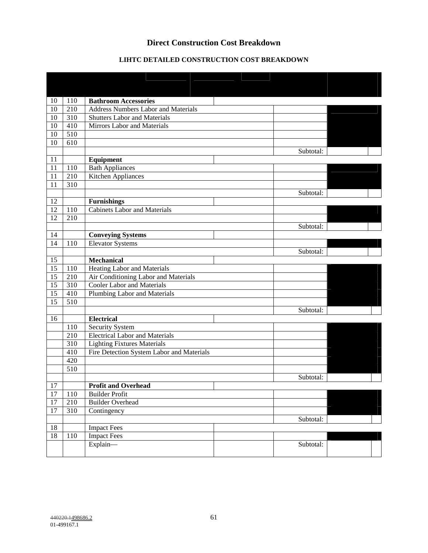# **Direct Construction Cost Breakdown**

# **LIHTC DETAILED CONSTRUCTION COST BREAKDOWN**

| 10     | 110 | <b>Bathroom Accessories</b>                |           |  |
|--------|-----|--------------------------------------------|-----------|--|
| 10     | 210 | <b>Address Numbers Labor and Materials</b> |           |  |
| 10     | 310 | <b>Shutters Labor and Materials</b>        |           |  |
| 10     | 410 | Mirrors Labor and Materials                |           |  |
| 10     | 510 |                                            |           |  |
| 10     | 610 |                                            |           |  |
|        |     |                                            | Subtotal: |  |
| 11     |     | Equipment                                  |           |  |
| 11     | 110 | <b>Bath Appliances</b>                     |           |  |
| 11     | 210 | Kitchen Appliances                         |           |  |
| 11     | 310 |                                            |           |  |
|        |     |                                            | Subtotal: |  |
| 12     |     | <b>Furnishings</b>                         |           |  |
| 12     | 110 | <b>Cabinets Labor and Materials</b>        |           |  |
| 12     | 210 |                                            |           |  |
|        |     |                                            | Subtotal: |  |
| 14     |     | <b>Conveying Systems</b>                   |           |  |
| 14     | 110 | <b>Elevator Systems</b>                    |           |  |
|        |     |                                            | Subtotal: |  |
| 15     |     | <b>Mechanical</b>                          |           |  |
| 15     | 110 | Heating Labor and Materials                |           |  |
| 15     | 210 | Air Conditioning Labor and Materials       |           |  |
| 15     | 310 | <b>Cooler Labor and Materials</b>          |           |  |
| 15     | 410 | Plumbing Labor and Materials               |           |  |
| 15     | 510 |                                            |           |  |
|        |     |                                            | Subtotal: |  |
| 16     |     | <b>Electrical</b>                          |           |  |
|        | 110 | Security System                            |           |  |
|        | 210 | <b>Electrical Labor and Materials</b>      |           |  |
|        | 310 | <b>Lighting Fixtures Materials</b>         |           |  |
|        | 410 | Fire Detection System Labor and Materials  |           |  |
|        | 420 |                                            |           |  |
|        | 510 |                                            |           |  |
|        |     |                                            | Subtotal: |  |
| 17     |     | <b>Profit and Overhead</b>                 |           |  |
| 17     | 110 | <b>Builder Profit</b>                      |           |  |
| $17\,$ | 210 | <b>Builder Overhead</b>                    |           |  |
| 17     | 310 | Contingency                                |           |  |
|        |     |                                            | Subtotal: |  |
| 18     |     | <b>Impact Fees</b>                         |           |  |
| $18\,$ | 110 | <b>Impact Fees</b>                         |           |  |
|        |     | Explain-                                   | Subtotal: |  |
|        |     |                                            |           |  |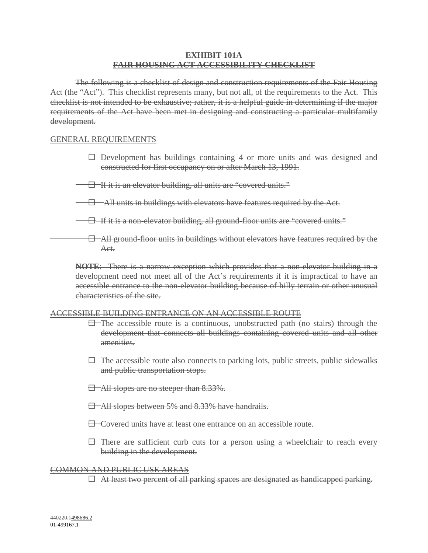## **EXHIBIT 101A FAIR HOUSING ACT ACCESSIBILITY CHECKLIST**

The following is a checklist of design and construction requirements of the Fair Housing Act (the "Act"). This checklist represents many, but not all, of the requirements to the Act. This checklist is not intended to be exhaustive; rather, it is a helpful guide in determining if the major requirements of the Act have been met in designing and constructing a particular multifamily development.

## GENERAL REQUIREMENTS

- $-$  Development has buildings containing 4 or more units and was designed and constructed for first occupancy on or after March 13, 1991.
- $\Box$  If it is an elevator building, all units are "covered units."
- $\Box$  All units in buildings with elevators have features required by the Act.
- $\Box$  If it is a non-elevator building, all ground-floor units are "covered units."
- $\Box$  All ground-floor units in buildings without elevators have features required by the Act.

**NOTE**: There is a narrow exception which provides that a non-elevator building in a development need not meet all of the Act's requirements if it is impractical to have an accessible entrance to the non-elevator building because of hilly terrain or other unusual characteristics of the site.

### ACCESSIBLE BUILDING ENTRANCE ON AN ACCESSIBLE ROUTE

- $\Box$  The accessible route is a continuous, unobstructed path (no stairs) through the development that connects all buildings containing covered units and all other amenities.
- $\Box$  The accessible route also connects to parking lots, public streets, public sidewalks and public transportation stops.
- $\Box$  All slopes are no steeper than 8.33%.
- $\Box$  All slopes between 5% and 8.33% have handrails.
- $\Box$  Covered units have at least one entrance on an accessible route.
- $\boxminus$  There are sufficient curb cuts for a person using a wheelchair to reach every building in the development.

### COMMON AND PUBLIC USE AREAS

H At least two percent of all parking spaces are designated as handicapped parking.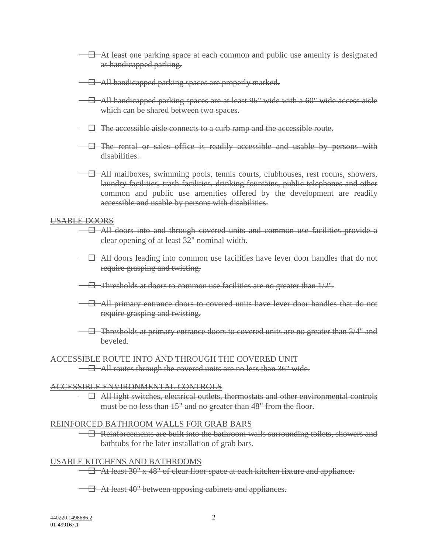- # At least one parking space at each common and public use amenity is designated as handicapped parking.
- $\Box$  All handicapped parking spaces are properly marked.
- $-\Box$  All handicapped parking spaces are at least 96" wide with a 60" wide access aisle which can be shared between two spaces.
- $\Box$  The accessible aisle connects to a curb ramp and the accessible route.
- $\Box$  The rental or sales office is readily accessible and usable by persons with disabilities.
- $\Box$  All mailboxes, swimming pools, tennis courts, clubhouses, rest rooms, showers, laundry facilities, trash facilities, drinking fountains, public telephones and other common and public use amenities offered by the development are readily accessible and usable by persons with disabilities.

### USABLE DOORS

- $\Box$  All doors into and through covered units and common use facilities provide a clear opening of at least 32" nominal width.
- $\Box$  All doors leading into common use facilities have lever door handles that do not require grasping and twisting.
- $-$  Thresholds at doors to common use facilities are no greater than  $1/2$ ".
- $\Box$  All primary entrance doors to covered units have lever door handles that do not require grasping and twisting.
- $\Box$  Thresholds at primary entrance doors to covered units are no greater than  $3/4$ " and beveled.

### ACCESSIBLE ROUTE INTO AND THROUGH THE COVERED UNIT

 $\Box$  All routes through the covered units are no less than 36" wide.

### ACCESSIBLE ENVIRONMENTAL CONTROLS

 $\Box$  All light switches, electrical outlets, thermostats and other environmental controls must be no less than 15" and no greater than 48" from the floor.

### REINFORCED BATHROOM WALLS FOR GRAB BARS

 $\Box$  Reinforcements are built into the bathroom walls surrounding toilets, showers and bathtubs for the later installation of grab bars.

### USABLE KITCHENS AND BATHROOMS

 $\Box$  At least 30" x 48" of clear floor space at each kitchen fixture and appliance.

 $\Box$  At least 40" between opposing cabinets and appliances.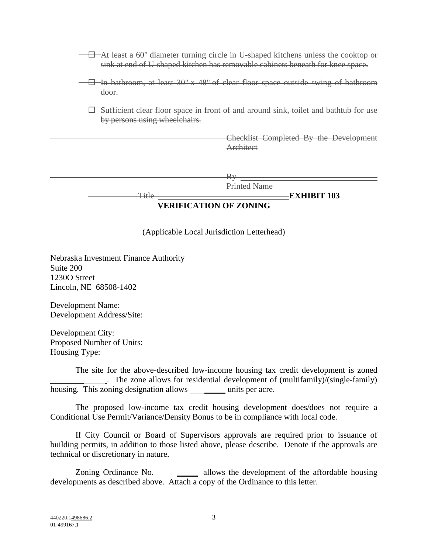| -At least a 60" diameter turning circle in U-shaped kitchens unless the cooktop or<br>sink at end of U-shaped kitchen has removable cabinets beneath for knee space. |  |  |  |  |  |
|----------------------------------------------------------------------------------------------------------------------------------------------------------------------|--|--|--|--|--|
| -In bathroom, at least 30" x 48" of clear floor space outside swing of bathroom<br>door.                                                                             |  |  |  |  |  |
| Sufficient clear floor space in front of and around sink, toilet and bathtub for use<br>by persons using wheelchairs.                                                |  |  |  |  |  |
| Checklist Completed By the Development<br>Architect                                                                                                                  |  |  |  |  |  |
| Printed Name                                                                                                                                                         |  |  |  |  |  |
| <b>EXHIBIT 103</b><br>Title<br><b>VERIFICATION OF ZONING</b>                                                                                                         |  |  |  |  |  |

(Applicable Local Jurisdiction Letterhead)

Nebraska Investment Finance Authority Suite 200 1230O Street Lincoln, NE 68508-1402

Development Name: Development Address/Site:

Development City: Proposed Number of Units: Housing Type:

The site for the above-described low-income housing tax credit development is zoned . The zone allows for residential development of (multifamily)/(single-family) housing. This zoning designation allows units per acre.

The proposed low-income tax credit housing development does/does not require a Conditional Use Permit/Variance/Density Bonus to be in compliance with local code.

If City Council or Board of Supervisors approvals are required prior to issuance of building permits, in addition to those listed above, please describe. Denote if the approvals are technical or discretionary in nature.

Zoning Ordinance No. \_\_\_\_\_\_\_\_\_ allows the development of the affordable housing developments as described above. Attach a copy of the Ordinance to this letter.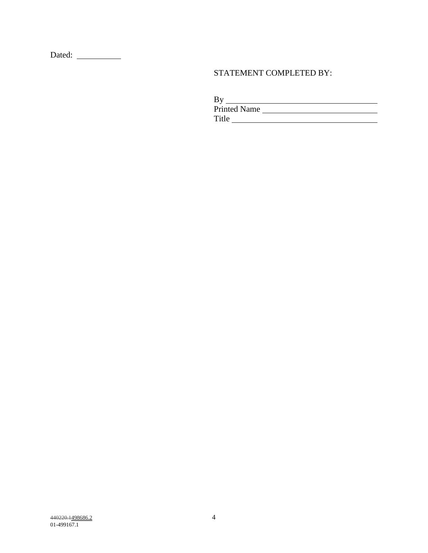Dated:

# STATEMENT COMPLETED BY:

By

Title

Printed Name

440220.1<u>498686.2</u> 440220.1498686.2 01-499167.1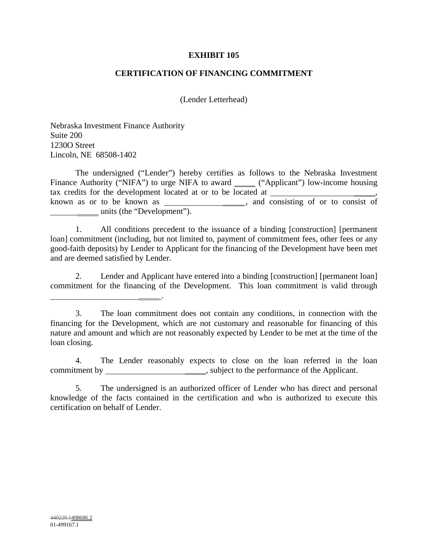## **EXHIBIT 105**

## **CERTIFICATION OF FINANCING COMMITMENT**

(Lender Letterhead)

Nebraska Investment Finance Authority Suite 200 1230O Street Lincoln, NE 68508-1402

.

The undersigned ("Lender") hereby certifies as follows to the Nebraska Investment Finance Authority ("NIFA") to urge NIFA to award \_\_\_\_\_\_ ("Applicant") low-income housing tax credits for the development located at or to be located at \_\_\_\_\_ known as or to be known as  $\overline{\hspace{1cm}}$ , and consisting of or to consist of units (the "Development").

1. All conditions precedent to the issuance of a binding [construction] [permanent loan] commitment (including, but not limited to, payment of commitment fees, other fees or any good-faith deposits) by Lender to Applicant for the financing of the Development have been met and are deemed satisfied by Lender.

2. Lender and Applicant have entered into a binding [construction] [permanent loan] commitment for the financing of the Development. This loan commitment is valid through

4. The Lender reasonably expects to close on the loan referred in the loan commitment by \_\_\_\_\_\_\_\_\_\_\_\_\_\_\_\_\_\_\_\_\_\_\_\_\_\_\_\_\_\_, subject to the performance of the Applicant.

<sup>3.</sup> The loan commitment does not contain any conditions, in connection with the financing for the Development, which are not customary and reasonable for financing of this nature and amount and which are not reasonably expected by Lender to be met at the time of the loan closing.

<sup>5.</sup> The undersigned is an authorized officer of Lender who has direct and personal knowledge of the facts contained in the certification and who is authorized to execute this certification on behalf of Lender.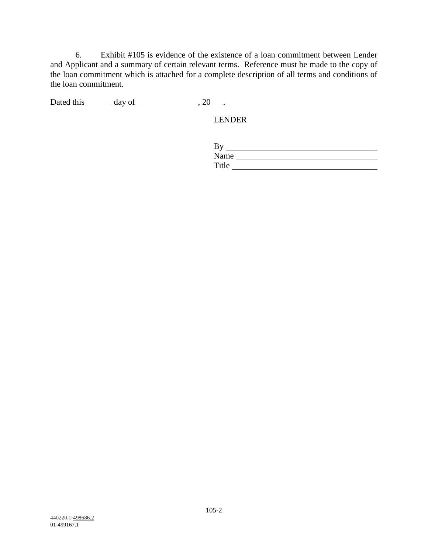6. Exhibit #105 is evidence of the existence of a loan commitment between Lender and Applicant and a summary of certain relevant terms. Reference must be made to the copy of the loan commitment which is attached for a complete description of all terms and conditions of the loan commitment.

Dated this  $\_\_\_\_$  day of  $\_\_\_\_\_\_$ , 20 $\_\_\_\_\$ .

LENDER

| Name  |  |
|-------|--|
| Title |  |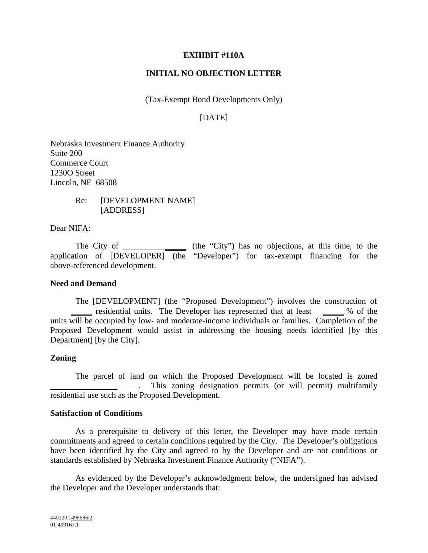## **EXHIBIT #110A**

## **INITIAL NO OBJECTION LETTER**

(Tax-Exempt Bond Developments Only)

# [DATE]

Nebraska Investment Finance Authority Suite 200 Commerce Court 1230O Street Lincoln, NE 68508

> Re: [DEVELOPMENT NAME] [ADDRESS]

Dear NIFA:

The City of \_\_\_\_\_\_\_\_\_\_\_\_\_\_ (the "City") has no objections, at this time, to the application of [DEVELOPER] (the "Developer") for tax-exempt financing for the above-referenced development.

### **Need and Demand**

The [DEVELOPMENT] (the "Proposed Development") involves the construction of residential units. The Developer has represented that at least % of the units will be occupied by low- and moderate-income individuals or families. Completion of the Proposed Development would assist in addressing the housing needs identified [by this Department] [by the City].

## **Zoning**

The parcel of land on which the Proposed Development will be located is zoned . This zoning designation permits (or will permit) multifamily residential use such as the Proposed Development.

### **Satisfaction of Conditions**

As a prerequisite to delivery of this letter, the Developer may have made certain commitments and agreed to certain conditions required by the City. The Developer's obligations have been identified by the City and agreed to by the Developer and are not conditions or standards established by Nebraska Investment Finance Authority ("NIFA").

As evidenced by the Developer's acknowledgment below, the undersigned has advised the Developer and the Developer understands that: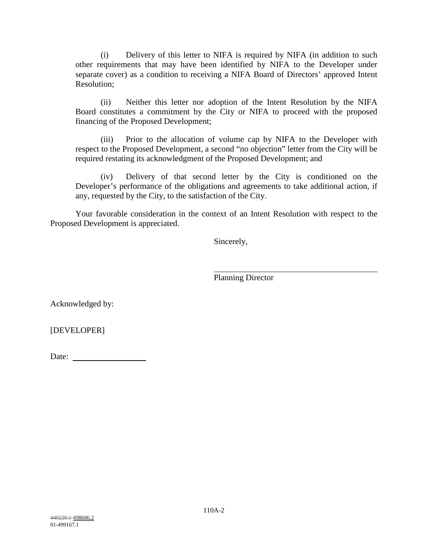(i) Delivery of this letter to NIFA is required by NIFA (in addition to such other requirements that may have been identified by NIFA to the Developer under separate cover) as a condition to receiving a NIFA Board of Directors' approved Intent Resolution;

(ii) Neither this letter nor adoption of the Intent Resolution by the NIFA Board constitutes a commitment by the City or NIFA to proceed with the proposed financing of the Proposed Development;

(iii) Prior to the allocation of volume cap by NIFA to the Developer with respect to the Proposed Development, a second "no objection" letter from the City will be required restating its acknowledgment of the Proposed Development; and

(iv) Delivery of that second letter by the City is conditioned on the Developer's performance of the obligations and agreements to take additional action, if any, requested by the City, to the satisfaction of the City.

Your favorable consideration in the context of an Intent Resolution with respect to the Proposed Development is appreciated.

Sincerely,

Planning Director

Acknowledged by:

[DEVELOPER]

Date: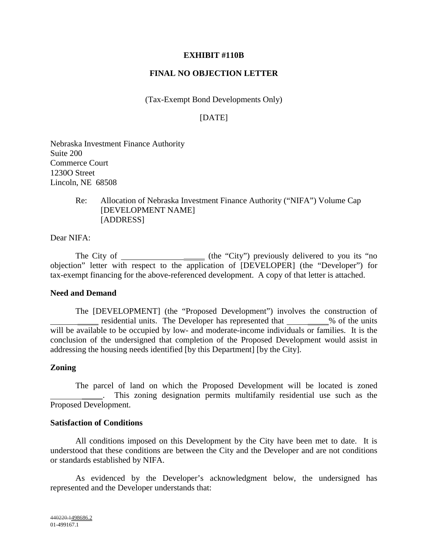## **EXHIBIT #110B**

## **FINAL NO OBJECTION LETTER**

(Tax-Exempt Bond Developments Only)

## [DATE]

Nebraska Investment Finance Authority Suite 200 Commerce Court 1230O Street Lincoln, NE 68508

> Re: Allocation of Nebraska Investment Finance Authority ("NIFA") Volume Cap [DEVELOPMENT NAME] [ADDRESS]

Dear NIFA:

The City of \_\_\_\_\_\_\_\_\_\_\_\_\_\_\_\_\_\_\_ (the "City") previously delivered to you its "no objection" letter with respect to the application of [DEVELOPER] (the "Developer") for tax-exempt financing for the above-referenced development. A copy of that letter is attached.

### **Need and Demand**

The [DEVELOPMENT] (the "Proposed Development") involves the construction of residential units. The Developer has represented that \_\_\_\_\_\_\_\_% of the units will be available to be occupied by low- and moderate-income individuals or families. It is the conclusion of the undersigned that completion of the Proposed Development would assist in addressing the housing needs identified [by this Department] [by the City].

### **Zoning**

The parcel of land on which the Proposed Development will be located is zoned . This zoning designation permits multifamily residential use such as the Proposed Development.

### **Satisfaction of Conditions**

All conditions imposed on this Development by the City have been met to date. It is understood that these conditions are between the City and the Developer and are not conditions or standards established by NIFA.

As evidenced by the Developer's acknowledgment below, the undersigned has represented and the Developer understands that: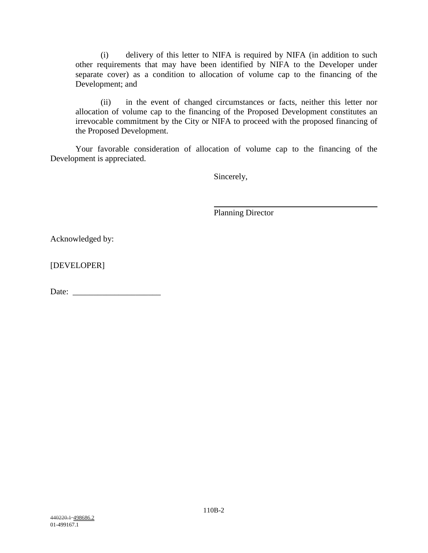(i) delivery of this letter to NIFA is required by NIFA (in addition to such other requirements that may have been identified by NIFA to the Developer under separate cover) as a condition to allocation of volume cap to the financing of the Development; and

(ii) in the event of changed circumstances or facts, neither this letter nor allocation of volume cap to the financing of the Proposed Development constitutes an irrevocable commitment by the City or NIFA to proceed with the proposed financing of the Proposed Development.

Your favorable consideration of allocation of volume cap to the financing of the Development is appreciated.

Sincerely,

Planning Director

Acknowledged by:

[DEVELOPER]

Date: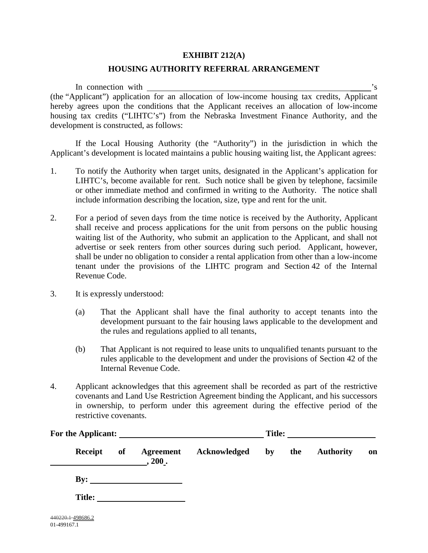## **EXHIBIT 212(A)**

## **HOUSING AUTHORITY REFERRAL ARRANGEMENT**

In connection with  $\overline{\phantom{a}}$  's (the "Applicant") application for an allocation of low-income housing tax credits, Applicant hereby agrees upon the conditions that the Applicant receives an allocation of low-income housing tax credits ("LIHTC's") from the Nebraska Investment Finance Authority, and the development is constructed, as follows:

If the Local Housing Authority (the "Authority") in the jurisdiction in which the Applicant's development is located maintains a public housing waiting list, the Applicant agrees:

- 1. To notify the Authority when target units, designated in the Applicant's application for LIHTC's, become available for rent. Such notice shall be given by telephone, facsimile or other immediate method and confirmed in writing to the Authority. The notice shall include information describing the location, size, type and rent for the unit.
- 2. For a period of seven days from the time notice is received by the Authority, Applicant shall receive and process applications for the unit from persons on the public housing waiting list of the Authority, who submit an application to the Applicant, and shall not advertise or seek renters from other sources during such period. Applicant, however, shall be under no obligation to consider a rental application from other than a low-income tenant under the provisions of the LIHTC program and Section 42 of the Internal Revenue Code.
- 3. It is expressly understood:
	- (a) That the Applicant shall have the final authority to accept tenants into the development pursuant to the fair housing laws applicable to the development and the rules and regulations applied to all tenants,
	- (b) That Applicant is not required to lease units to unqualified tenants pursuant to the rules applicable to the development and under the provisions of Section 42 of the Internal Revenue Code.
- 4. Applicant acknowledges that this agreement shall be recorded as part of the restrictive covenants and Land Use Restriction Agreement binding the Applicant, and his successors in ownership, to perform under this agreement during the effective period of the restrictive covenants.

| Receipt       | of | Agreement<br>$\_, 200$ . | Acknowledged | by | the | <b>Authority</b> | on |
|---------------|----|--------------------------|--------------|----|-----|------------------|----|
|               |    | $\mathbf{By:}$           |              |    |     |                  |    |
| <b>Title:</b> |    |                          |              |    |     |                  |    |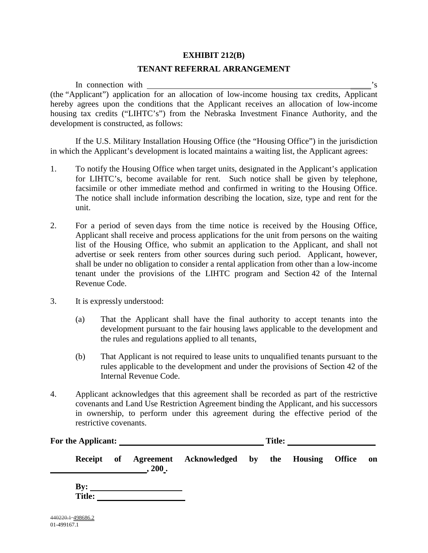### **EXHIBIT 212(B)**

### **TENANT REFERRAL ARRANGEMENT**

In connection with  $\overline{\phantom{a}}$  's (the "Applicant") application for an allocation of low-income housing tax credits, Applicant hereby agrees upon the conditions that the Applicant receives an allocation of low-income housing tax credits ("LIHTC's") from the Nebraska Investment Finance Authority, and the development is constructed, as follows:

If the U.S. Military Installation Housing Office (the "Housing Office") in the jurisdiction in which the Applicant's development is located maintains a waiting list, the Applicant agrees:

- 1. To notify the Housing Office when target units, designated in the Applicant's application for LIHTC's, become available for rent. Such notice shall be given by telephone, facsimile or other immediate method and confirmed in writing to the Housing Office. The notice shall include information describing the location, size, type and rent for the unit.
- 2. For a period of seven days from the time notice is received by the Housing Office, Applicant shall receive and process applications for the unit from persons on the waiting list of the Housing Office, who submit an application to the Applicant, and shall not advertise or seek renters from other sources during such period. Applicant, however, shall be under no obligation to consider a rental application from other than a low-income tenant under the provisions of the LIHTC program and Section 42 of the Internal Revenue Code.
- 3. It is expressly understood:
	- (a) That the Applicant shall have the final authority to accept tenants into the development pursuant to the fair housing laws applicable to the development and the rules and regulations applied to all tenants,
	- (b) That Applicant is not required to lease units to unqualified tenants pursuant to the rules applicable to the development and under the provisions of Section 42 of the Internal Revenue Code.
- 4. Applicant acknowledges that this agreement shall be recorded as part of the restrictive covenants and Land Use Restriction Agreement binding the Applicant, and his successors in ownership, to perform under this agreement during the effective period of the restrictive covenants.

| For the Applicant: |  |        | <b>Title:</b>                                           |  |  |  |    |
|--------------------|--|--------|---------------------------------------------------------|--|--|--|----|
|                    |  | , 200. | Receipt of Agreement Acknowledged by the Housing Office |  |  |  | on |

**By: Title:**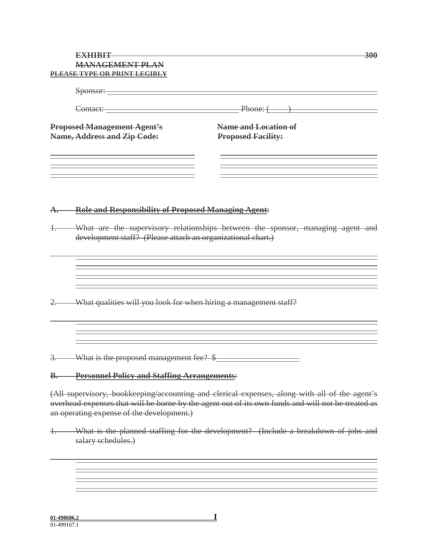|               | EXHIBUL                                                          | 300                                                                                                                                                                                                                            |
|---------------|------------------------------------------------------------------|--------------------------------------------------------------------------------------------------------------------------------------------------------------------------------------------------------------------------------|
|               | <b>MANAGEMENT PLAN</b>                                           |                                                                                                                                                                                                                                |
|               | PLEASE TYPE OR PRINT LEGIBLY                                     |                                                                                                                                                                                                                                |
|               |                                                                  |                                                                                                                                                                                                                                |
|               |                                                                  |                                                                                                                                                                                                                                |
|               |                                                                  | Contact: Phone: (Phone: (Phone: (Phone: (Phone: (Phone: (Phone: (Phone: (Phone: (Phone: (Phone: (Phone: (Phone: (Phone: (Phone: (Phone: (Phone: (Phone: (Phone: (Phone: (Phone: (Phone: (Phone: (Phone: (Phone: (Phone: (Phone |
|               | <b>Proposed Management Agent's</b>                               | Name and Location of                                                                                                                                                                                                           |
|               | Name, Address and Zip Code:                                      | <b>Proposed Facility:</b>                                                                                                                                                                                                      |
|               |                                                                  |                                                                                                                                                                                                                                |
|               |                                                                  |                                                                                                                                                                                                                                |
|               |                                                                  |                                                                                                                                                                                                                                |
|               |                                                                  |                                                                                                                                                                                                                                |
| <del>A.</del> | <b>Role and Responsibility of Proposed Managing Agent:</b>       |                                                                                                                                                                                                                                |
|               |                                                                  |                                                                                                                                                                                                                                |
|               | development staff? (Please attach an organizational chart.)      | What are the supervisory relationships between the sponsor, managing agent and                                                                                                                                                 |
|               |                                                                  |                                                                                                                                                                                                                                |
|               |                                                                  |                                                                                                                                                                                                                                |
|               |                                                                  |                                                                                                                                                                                                                                |
|               |                                                                  |                                                                                                                                                                                                                                |
|               | What qualities will you look for when hiring a management staff? |                                                                                                                                                                                                                                |
|               |                                                                  |                                                                                                                                                                                                                                |
|               |                                                                  |                                                                                                                                                                                                                                |
|               |                                                                  |                                                                                                                                                                                                                                |
|               | What is the proposed management fee? \$                          |                                                                                                                                                                                                                                |
|               |                                                                  |                                                                                                                                                                                                                                |
| ₿,            | <b>Personnel Policy and Staffing Arrangements:</b>               |                                                                                                                                                                                                                                |
|               |                                                                  | (All supervisory, bookkeeping/accounting and clerical expenses, along with all of the agent's                                                                                                                                  |
|               |                                                                  | overhead expenses that will be borne by the agent out of its own funds and will not be treated as                                                                                                                              |
|               | an operating expense of the development.)                        |                                                                                                                                                                                                                                |
|               |                                                                  |                                                                                                                                                                                                                                |

1. What is the planned staffing for the development? (Include a breakdown of jobs and salary schedules.)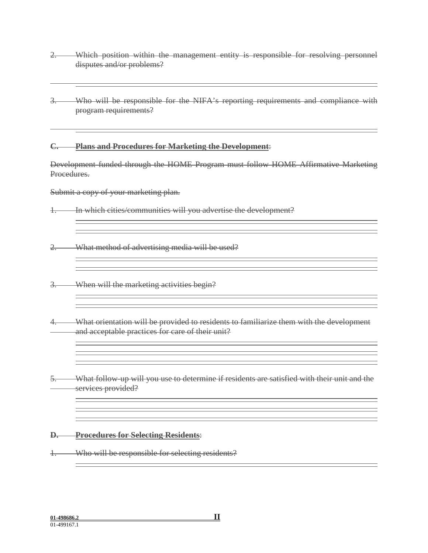- 2. Which position within the management entity is responsible for resolving personnel disputes and/or problems?
- 3. Who will be responsible for the NIFA's reporting requirements and compliance with program requirements?

**C. Plans and Procedures for Marketing the Development**:

Development funded through the HOME Program must follow HOME Affirmative Marketing Procedures.

Submit a copy of your marketing plan.

1. In which cities/communities will you advertise the development?

2. What method of advertising media will be used?

3. When will the marketing activities begin?

- 4. What orientation will be provided to residents to familiarize them with the development and acceptable practices for care of their unit?
- 5. What follow-up will you use to determine if residents are satisfied with their unit and the services provided?

### **D. Procedures for Selecting Residents**:

1. Who will be responsible for selecting residents?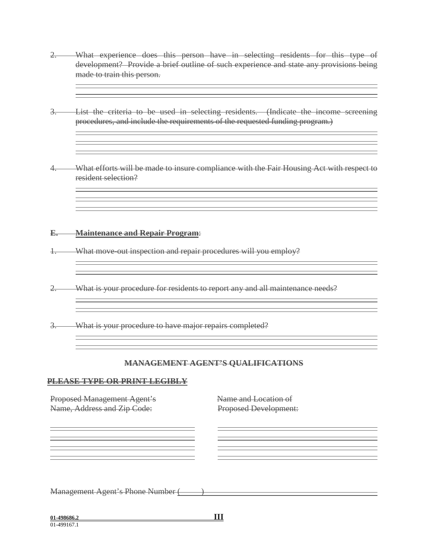- 2. What experience does this person have in selecting residents for this type of development? Provide a brief outline of such experience and state any provisions being made to train this person.
- 3. List the criteria to be used in selecting residents. (Indicate the income screening procedures, and include the requirements of the requested funding program.)
- What efforts will be made to insure compliance with the Fair Housing Act with respect to resident selection?

#### **E. Maintenance and Repair Program**:

- 1. What move-out inspection and repair procedures will you employ?
- 2. What is your procedure for residents to report any and all maintenance needs?

3. What is your procedure to have major repairs completed?

#### **MANAGEMENT AGENT'S QUALIFICATIONS**

#### **PLEASE TYPE OR PRINT LEGIBLY**

| Proposed Management Agent's              | Name and Location of         |
|------------------------------------------|------------------------------|
| Name, Address and Zip Code:              | <b>Proposed Development:</b> |
|                                          |                              |
|                                          |                              |
|                                          |                              |
|                                          |                              |
|                                          |                              |
|                                          |                              |
|                                          |                              |
|                                          |                              |
| <b>Management Agent's Phone Number (</b> |                              |
|                                          |                              |
|                                          |                              |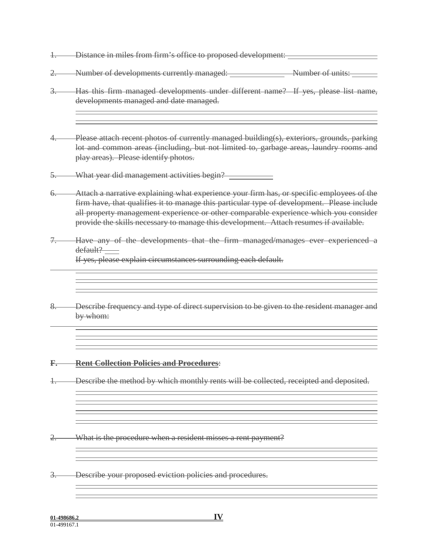- 1. Distance in miles from firm's office to proposed development:
- 2. Number of developments currently managed: Number of units:
- 3. Has this firm managed developments under different name? If yes, please list name, developments managed and date managed.
- Please attach recent photos of currently managed building(s), exteriors, grounds, parking lot and common areas (including, but not limited to, garbage areas, laundry rooms and play areas). Please identify photos.
- 5. What year did management activities begin?
- 6. Attach a narrative explaining what experience your firm has, or specific employees of the firm have, that qualifies it to manage this particular type of development. Please include all property management experience or other comparable experience which you consider provide the skills necessary to manage this development. Attach resumes if available.
- Have any of the developments that the firm managed/manages ever experienced a default?

If yes, please explain circumstances surrounding each default.

8. Describe frequency and type of direct supervision to be given to the resident manager and by whom:

### **F. Rent Collection Policies and Procedures**:

1. Describe the method by which monthly rents will be collected, receipted and deposited.

- 2. What is the procedure when a resident misses a rent payment?
- 3. Describe your proposed eviction policies and procedures.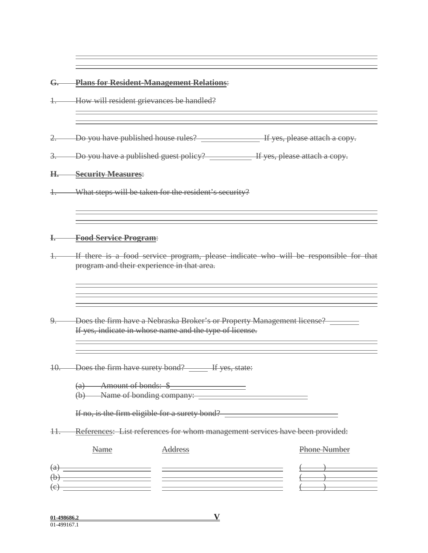### **G. Plans for Resident-Management Relations**:

1. How will resident grievances be handled?

- 2. Do you have published house rules? If yes, please attach a copy.
- 3. Do you have a published guest policy? If yes, please attach a copy.

### **H. Security Measures**:

1. What steps will be taken for the resident's security?

#### **I. Food Service Program**:

1. If there is a food service program, please indicate who will be responsible for that program and their experience in that area.

- 9. Does the firm have a Nebraska Broker's or Property Management license? \_\_\_\_\_\_ If yes, indicate in whose name and the type of license.
- 10. Does the firm have surety bond? The yes, state:

| $A$ mount of bonds<br><del>Alliount Or conus.   o</del> |  |
|---------------------------------------------------------|--|
| Name of bonding company:                                |  |

If no, is the firm eligible for a surety bond?

11. References: List references for whom management services have been provided:

|                           | Name | Address | Phone Number |
|---------------------------|------|---------|--------------|
| $\left(\mathrm{a}\right)$ |      |         |              |
| $\bigoplus$               |      |         |              |
| $\left(\mathrm{e}\right)$ |      |         |              |
|                           |      |         |              |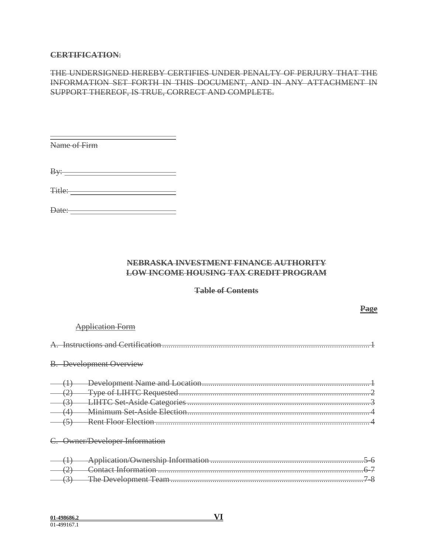### **CERTIFICATION**:

## THE UNDERSIGNED HEREBY CERTIFIES UNDER PENALTY OF PERJURY THAT THE INFORMATION SET FORTH IN THIS DOCUMENT, AND IN ANY ATTACHMENT IN SUPPORT THEREOF, IS TRUE, CORRECT AND COMPLETE.

| Name of Firm                                            |  |
|---------------------------------------------------------|--|
|                                                         |  |
| Bv:<br><u> 1989 - Jan Stein, amerikansk politiker (</u> |  |
| Title:                                                  |  |

Date:

### **NEBRASKA INVESTMENT FINANCE AUTHORITY LOW INCOME HOUSING TAX CREDIT PROGRAM**

#### **Table of Contents**

|  | pplication Form                |
|--|--------------------------------|
|  | Instructions and Cortification |
|  | <b>B.</b> Development Overview |
|  | Rent Floor Election            |
|  | C. Owner/Developer Information |
|  |                                |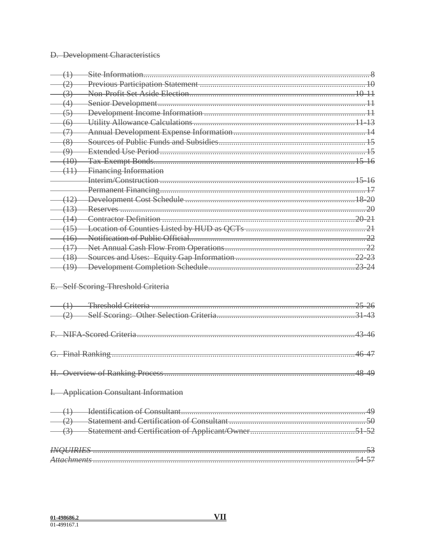# **D.** Development Characteristics

| (11) Financing Information            |       |
|---------------------------------------|-------|
|                                       |       |
|                                       |       |
|                                       |       |
|                                       |       |
|                                       |       |
|                                       |       |
|                                       |       |
|                                       |       |
|                                       |       |
|                                       |       |
| E. Self Scoring-Threshold Criteria    |       |
|                                       |       |
|                                       |       |
|                                       |       |
|                                       |       |
|                                       |       |
|                                       | 46-47 |
|                                       |       |
|                                       |       |
| I. Application Consultant Information |       |
|                                       |       |
|                                       |       |
|                                       |       |
|                                       |       |
|                                       |       |
|                                       |       |